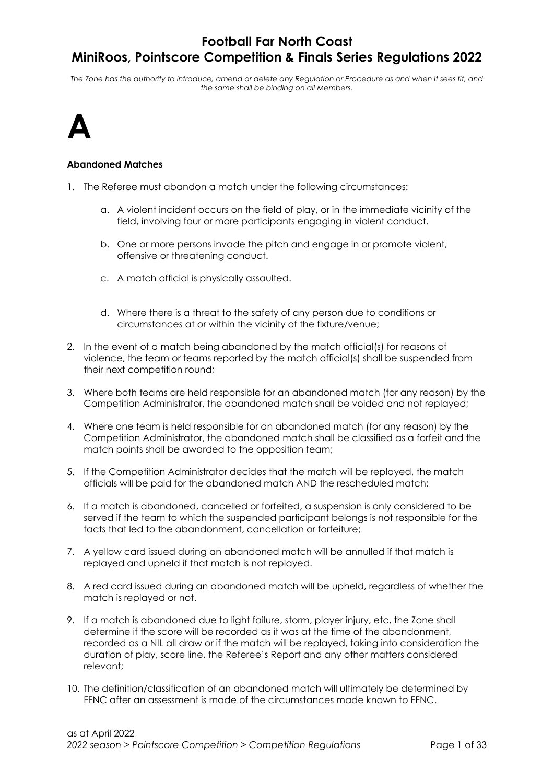The Zone has the authority to introduce, amend or delete any Regulation or Procedure as and when it sees fit, and the same shall be binding on all Members.



#### Abandoned Matches

- 1. The Referee must abandon a match under the following circumstances:
	- a. A violent incident occurs on the field of play, or in the immediate vicinity of the field, involving four or more participants engaging in violent conduct.
	- b. One or more persons invade the pitch and engage in or promote violent, offensive or threatening conduct.
	- c. A match official is physically assaulted.
	- d. Where there is a threat to the safety of any person due to conditions or circumstances at or within the vicinity of the fixture/venue;
- 2. In the event of a match being abandoned by the match official(s) for reasons of violence, the team or teams reported by the match official(s) shall be suspended from their next competition round;
- 3. Where both teams are held responsible for an abandoned match (for any reason) by the Competition Administrator, the abandoned match shall be voided and not replayed;
- 4. Where one team is held responsible for an abandoned match (for any reason) by the Competition Administrator, the abandoned match shall be classified as a forfeit and the match points shall be awarded to the opposition team;
- 5. If the Competition Administrator decides that the match will be replayed, the match officials will be paid for the abandoned match AND the rescheduled match;
- 6. If a match is abandoned, cancelled or forfeited, a suspension is only considered to be served if the team to which the suspended participant belongs is not responsible for the facts that led to the abandonment, cancellation or forfeiture;
- 7. A yellow card issued during an abandoned match will be annulled if that match is replayed and upheld if that match is not replayed.
- 8. A red card issued during an abandoned match will be upheld, regardless of whether the match is replayed or not.
- 9. If a match is abandoned due to light failure, storm, player injury, etc, the Zone shall determine if the score will be recorded as it was at the time of the abandonment, recorded as a NIL all draw or if the match will be replayed, taking into consideration the duration of play, score line, the Referee's Report and any other matters considered relevant;
- 10. The definition/classification of an abandoned match will ultimately be determined by FFNC after an assessment is made of the circumstances made known to FFNC.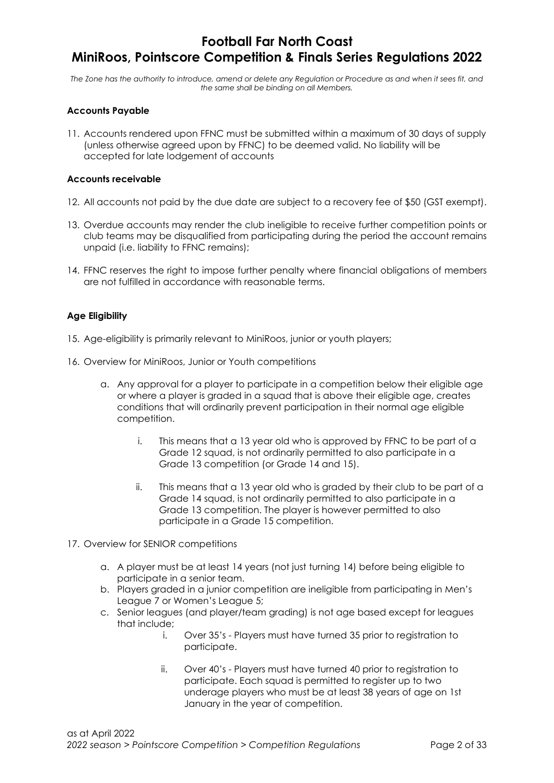The Zone has the authority to introduce, amend or delete any Regulation or Procedure as and when it sees fit, and the same shall be binding on all Members.

### Accounts Payable

11. Accounts rendered upon FFNC must be submitted within a maximum of 30 days of supply (unless otherwise agreed upon by FFNC) to be deemed valid. No liability will be accepted for late lodgement of accounts

#### Accounts receivable

- 12. All accounts not paid by the due date are subject to a recovery fee of \$50 (GST exempt).
- 13. Overdue accounts may render the club ineligible to receive further competition points or club teams may be disqualified from participating during the period the account remains unpaid (i.e. liability to FFNC remains);
- 14. FFNC reserves the right to impose further penalty where financial obligations of members are not fulfilled in accordance with reasonable terms.

#### Age Eligibility

- 15. Age-eligibility is primarily relevant to MiniRoos, junior or youth players;
- 16. Overview for MiniRoos, Junior or Youth competitions
	- a. Any approval for a player to participate in a competition below their eligible age or where a player is graded in a squad that is above their eligible age, creates conditions that will ordinarily prevent participation in their normal age eligible competition.
		- i. This means that a 13 year old who is approved by FFNC to be part of a Grade 12 squad, is not ordinarily permitted to also participate in a Grade 13 competition (or Grade 14 and 15).
		- ii. This means that a 13 year old who is graded by their club to be part of a Grade 14 squad, is not ordinarily permitted to also participate in a Grade 13 competition. The player is however permitted to also participate in a Grade 15 competition.
- 17. Overview for SENIOR competitions
	- a. A player must be at least 14 years (not just turning 14) before being eligible to participate in a senior team.
	- b. Players graded in a junior competition are ineligible from participating in Men's League 7 or Women's League 5;
	- c. Senior leagues (and player/team grading) is not age based except for leagues that include;
		- i. Over 35's Players must have turned 35 prior to registration to participate.
		- ii. Over 40's Players must have turned 40 prior to registration to participate. Each squad is permitted to register up to two underage players who must be at least 38 years of age on 1st January in the year of competition.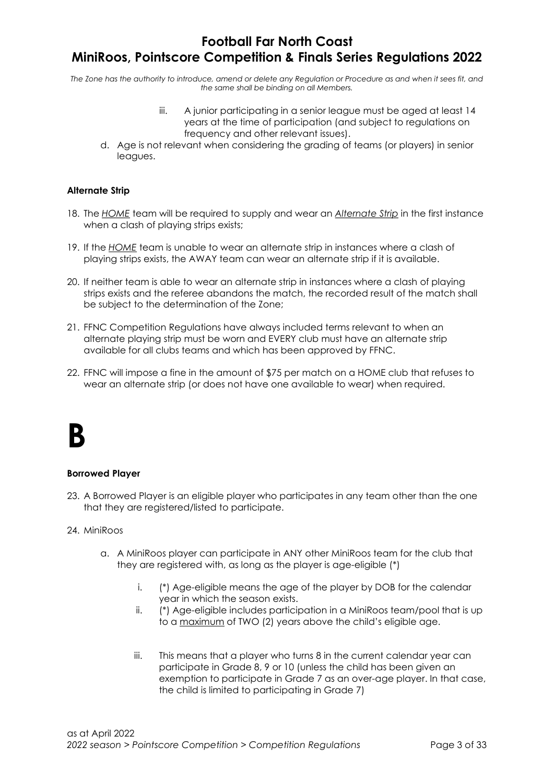The Zone has the authority to introduce, amend or delete any Regulation or Procedure as and when it sees fit, and the same shall be binding on all Members.

- iii. A junior participating in a senior league must be aged at least 14 years at the time of participation (and subject to regulations on frequency and other relevant issues).
- d. Age is not relevant when considering the grading of teams (or players) in senior leagues.

### Alternate Strip

- 18. The HOME team will be required to supply and wear an Alternate Strip in the first instance when a clash of playing strips exists;
- 19. If the HOME team is unable to wear an alternate strip in instances where a clash of playing strips exists, the AWAY team can wear an alternate strip if it is available.
- 20. If neither team is able to wear an alternate strip in instances where a clash of playing strips exists and the referee abandons the match, the recorded result of the match shall be subject to the determination of the Zone;
- 21. FFNC Competition Regulations have always included terms relevant to when an alternate playing strip must be worn and EVERY club must have an alternate strip available for all clubs teams and which has been approved by FFNC.
- 22. FFNC will impose a fine in the amount of \$75 per match on a HOME club that refuses to wear an alternate strip (or does not have one available to wear) when required.

## B

#### Borrowed Player

23. A Borrowed Player is an eligible player who participates in any team other than the one that they are registered/listed to participate.

#### 24. MiniRoos

- a. A MiniRoos player can participate in ANY other MiniRoos team for the club that they are registered with, as long as the player is age-eligible (\*)
	- i. (\*) Age-eligible means the age of the player by DOB for the calendar year in which the season exists.
	- ii. (\*) Age-eligible includes participation in a MiniRoos team/pool that is up to a maximum of TWO (2) years above the child's eligible age.
	- iii. This means that a player who turns 8 in the current calendar year can participate in Grade 8, 9 or 10 (unless the child has been given an exemption to participate in Grade 7 as an over-age player. In that case, the child is limited to participating in Grade 7)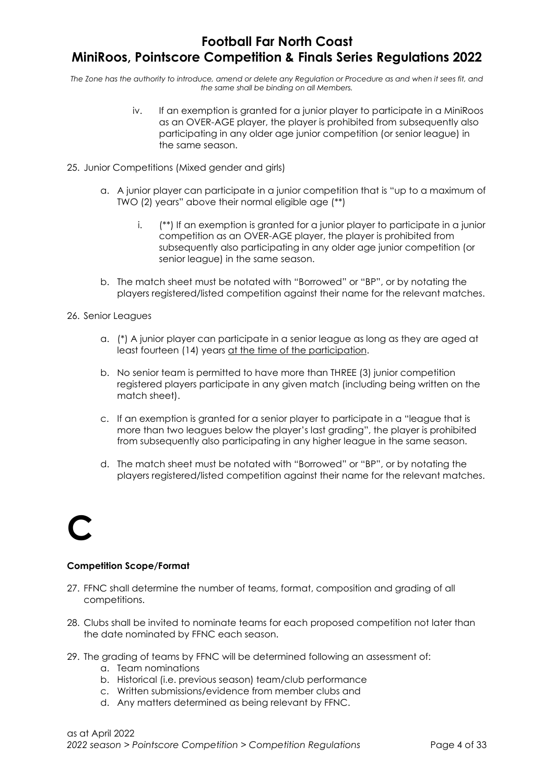The Zone has the authority to introduce, amend or delete any Regulation or Procedure as and when it sees fit, and the same shall be binding on all Members.

- iv. If an exemption is granted for a junior player to participate in a MiniRoos as an OVER-AGE player, the player is prohibited from subsequently also participating in any older age junior competition (or senior league) in the same season.
- 25. Junior Competitions (Mixed gender and girls)
	- a. A junior player can participate in a junior competition that is "up to a maximum of TWO (2) years" above their normal eligible age (\*\*)
		- i. (\*\*) If an exemption is granted for a junior player to participate in a junior competition as an OVER-AGE player, the player is prohibited from subsequently also participating in any older age junior competition (or senior league) in the same season.
	- b. The match sheet must be notated with "Borrowed" or "BP", or by notating the players registered/listed competition against their name for the relevant matches.
- 26. Senior Leagues
	- a. (\*) A junior player can participate in a senior league as long as they are aged at least fourteen (14) years at the time of the participation.
	- b. No senior team is permitted to have more than THREE (3) junior competition registered players participate in any given match (including being written on the match sheet).
	- c. If an exemption is granted for a senior player to participate in a "league that is more than two leagues below the player's last grading", the player is prohibited from subsequently also participating in any higher league in the same season.
	- d. The match sheet must be notated with "Borrowed" or "BP", or by notating the players registered/listed competition against their name for the relevant matches.

## C

#### Competition Scope/Format

- 27. FFNC shall determine the number of teams, format, composition and grading of all competitions.
- 28. Clubs shall be invited to nominate teams for each proposed competition not later than the date nominated by FFNC each season.
- 29. The grading of teams by FFNC will be determined following an assessment of:
	- a. Team nominations
	- b. Historical (i.e. previous season) team/club performance
	- c. Written submissions/evidence from member clubs and
	- d. Any matters determined as being relevant by FFNC.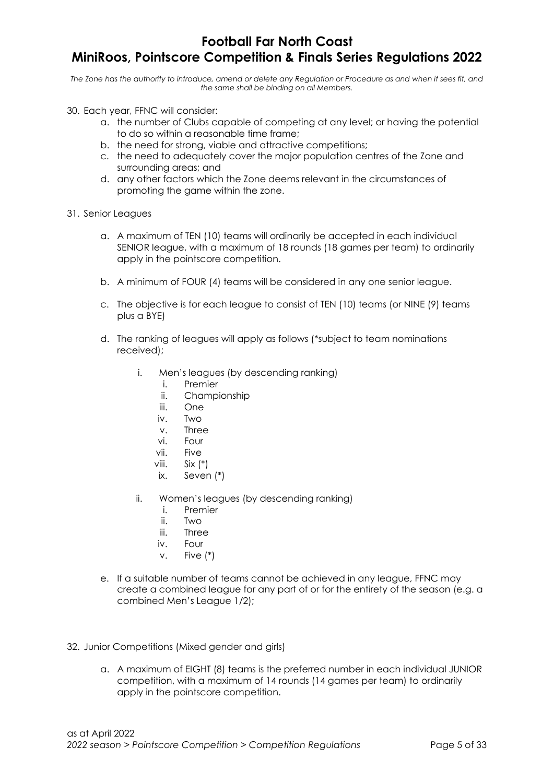## Football Far North Coast

## MiniRoos, Pointscore Competition & Finals Series Regulations 2022

- 30. Each year, FFNC will consider:
	- a. the number of Clubs capable of competing at any level; or having the potential to do so within a reasonable time frame;
	- b. the need for strong, viable and attractive competitions;
	- c. the need to adequately cover the major population centres of the Zone and surrounding areas; and
	- d. any other factors which the Zone deems relevant in the circumstances of promoting the game within the zone.
- 31. Senior Leagues
	- a. A maximum of TEN (10) teams will ordinarily be accepted in each individual SENIOR league, with a maximum of 18 rounds (18 games per team) to ordinarily apply in the pointscore competition.
	- b. A minimum of FOUR (4) teams will be considered in any one senior league.
	- c. The objective is for each league to consist of TEN (10) teams (or NINE (9) teams plus a BYE)
	- d. The ranking of leagues will apply as follows (\*subject to team nominations received);
		- i. Men's leagues (by descending ranking)
			- i. Premier
			- ii. Championship
			- iii. One
			- iv. Two
			- v. Three
			- vi. Four
			- vii. Five
			- viii. Six (\*)
			- ix. Seven (\*)
		- ii. Women's leagues (by descending ranking)
			- i. Premier
			- ii. Two
			- iii. Three
			- iv. Four
			- v. Five (\*)
	- e. If a suitable number of teams cannot be achieved in any league, FFNC may create a combined league for any part of or for the entirety of the season (e.g. a combined Men's League 1/2);
- 32. Junior Competitions (Mixed gender and girls)
	- a. A maximum of EIGHT (8) teams is the preferred number in each individual JUNIOR competition, with a maximum of 14 rounds (14 games per team) to ordinarily apply in the pointscore competition.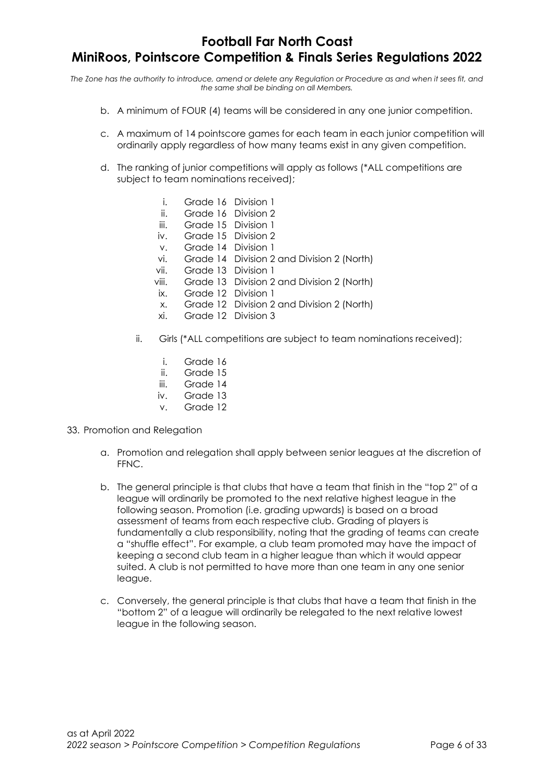- b. A minimum of FOUR (4) teams will be considered in any one junior competition.
- c. A maximum of 14 pointscore games for each team in each junior competition will ordinarily apply regardless of how many teams exist in any given competition.
- d. The ranking of junior competitions will apply as follows (\*ALL competitions are subject to team nominations received);
	- i. Grade 16 Division 1
	- ii. Grade 16 Division 2
	- iii. Grade 15 Division 1
	- iv. Grade 15 Division 2
	- v. Grade 14 Division 1
	- vi. Grade 14 Division 2 and Division 2 (North)
	- vii. Grade 13 Division 1
	- viii. Grade 13 Division 2 and Division 2 (North)
	- ix. Grade 12 Division 1
	- x. Grade 12 Division 2 and Division 2 (North)
	- xi. Grade 12 Division 3
	- ii. Girls (\*ALL competitions are subject to team nominations received);
		- i. Grade 16
		- ii. Grade 15
		- iii. Grade 14
		- iv. Grade 13
		- v. Grade 12
- 33. Promotion and Relegation
	- a. Promotion and relegation shall apply between senior leagues at the discretion of FFNC.
	- b. The general principle is that clubs that have a team that finish in the "top 2" of a league will ordinarily be promoted to the next relative highest league in the following season. Promotion (i.e. grading upwards) is based on a broad assessment of teams from each respective club. Grading of players is fundamentally a club responsibility, noting that the grading of teams can create a "shuffle effect". For example, a club team promoted may have the impact of keeping a second club team in a higher league than which it would appear suited. A club is not permitted to have more than one team in any one senior league.
	- c. Conversely, the general principle is that clubs that have a team that finish in the "bottom 2" of a league will ordinarily be relegated to the next relative lowest league in the following season.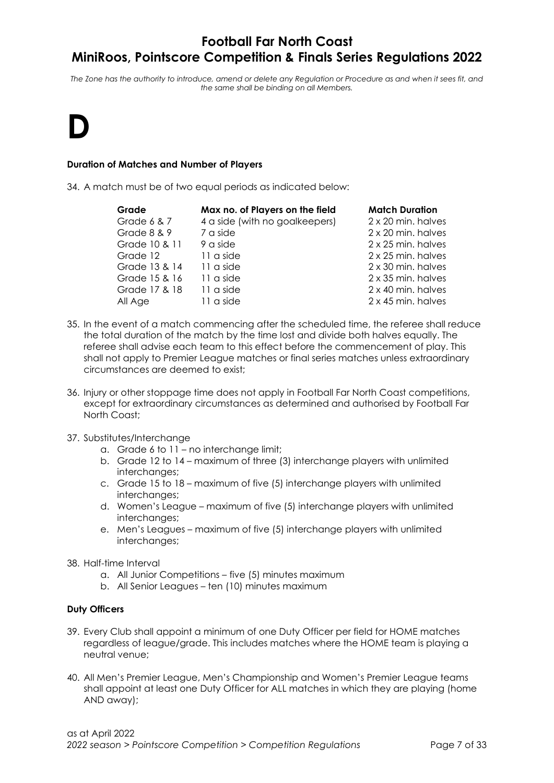The Zone has the authority to introduce, amend or delete any Regulation or Procedure as and when it sees fit, and the same shall be binding on all Members.

# D

### Duration of Matches and Number of Players

34. A match must be of two equal periods as indicated below:

| Grade           | Max no. of Players on the field | <b>Match Duration</b> |
|-----------------|---------------------------------|-----------------------|
| Grade $6$ & $7$ | 4 a side (with no goalkeepers)  | 2 x 20 min. halves    |
| Grade 8 & 9     | 7 a side                        | 2 x 20 min. halves    |
| Grade 10 & 11   | 9 a side                        | 2 x 25 min. halves    |
| Grade 12        | 11 a side                       | 2 x 25 min. halves    |
| Grade 13 & 14   | 11 a side                       | 2 x 30 min. halves    |
| Grade 15 & 16   | 11 a side                       | 2 x 35 min. halves    |
| Grade 17 & 18   | 11 a side                       | 2 x 40 min. halves    |
| All Age         | 11 a side                       | 2 x 45 min. halves    |

- 35. In the event of a match commencing after the scheduled time, the referee shall reduce the total duration of the match by the time lost and divide both halves equally. The referee shall advise each team to this effect before the commencement of play. This shall not apply to Premier League matches or final series matches unless extraordinary circumstances are deemed to exist;
- 36. Injury or other stoppage time does not apply in Football Far North Coast competitions, except for extraordinary circumstances as determined and authorised by Football Far North Coast;
- 37. Substitutes/Interchange
	- a. Grade 6 to 11 no interchange limit;
	- b. Grade 12 to 14 maximum of three (3) interchange players with unlimited interchanges;
	- c. Grade 15 to 18 maximum of five (5) interchange players with unlimited interchanges;
	- d. Women's League maximum of five (5) interchange players with unlimited interchanges;
	- e. Men's Leagues maximum of five (5) interchange players with unlimited interchanges;
- 38. Half-time Interval
	- a. All Junior Competitions five (5) minutes maximum
	- b. All Senior Leagues ten (10) minutes maximum

#### Duty Officers

- 39. Every Club shall appoint a minimum of one Duty Officer per field for HOME matches regardless of league/grade. This includes matches where the HOME team is playing a neutral venue;
- 40. All Men's Premier League, Men's Championship and Women's Premier League teams shall appoint at least one Duty Officer for ALL matches in which they are playing (home AND away);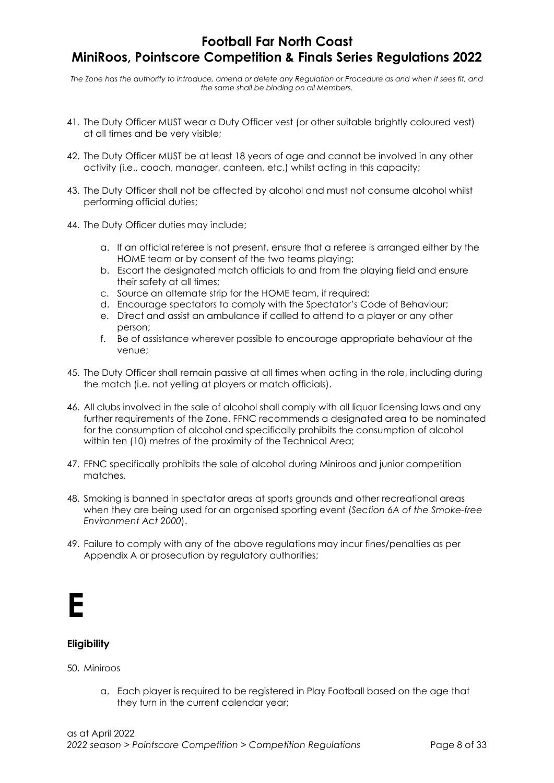The Zone has the authority to introduce, amend or delete any Regulation or Procedure as and when it sees fit, and the same shall be binding on all Members.

- 41. The Duty Officer MUST wear a Duty Officer vest (or other suitable brightly coloured vest) at all times and be very visible;
- 42. The Duty Officer MUST be at least 18 years of age and cannot be involved in any other activity (i.e., coach, manager, canteen, etc.) whilst acting in this capacity;
- 43. The Duty Officer shall not be affected by alcohol and must not consume alcohol whilst performing official duties;
- 44. The Duty Officer duties may include;
	- a. If an official referee is not present, ensure that a referee is arranged either by the HOME team or by consent of the two teams playing;
	- b. Escort the designated match officials to and from the playing field and ensure their safety at all times;
	- c. Source an alternate strip for the HOME team, if required;
	- d. Encourage spectators to comply with the Spectator's Code of Behaviour;
	- e. Direct and assist an ambulance if called to attend to a player or any other person;
	- f. Be of assistance wherever possible to encourage appropriate behaviour at the venue;
- 45. The Duty Officer shall remain passive at all times when acting in the role, including during the match (i.e. not yelling at players or match officials).
- 46. All clubs involved in the sale of alcohol shall comply with all liquor licensing laws and any further requirements of the Zone. FFNC recommends a designated area to be nominated for the consumption of alcohol and specifically prohibits the consumption of alcohol within ten (10) metres of the proximity of the Technical Area;
- 47. FFNC specifically prohibits the sale of alcohol during Miniroos and junior competition matches.
- 48. Smoking is banned in spectator areas at sports grounds and other recreational areas when they are being used for an organised sporting event (Section 6A of the Smoke-free Environment Act 2000).
- 49. Failure to comply with any of the above regulations may incur fines/penalties as per Appendix A or prosecution by regulatory authorities;



## **Eligibility**

#### 50. Miniroos

a. Each player is required to be registered in Play Football based on the age that they turn in the current calendar year;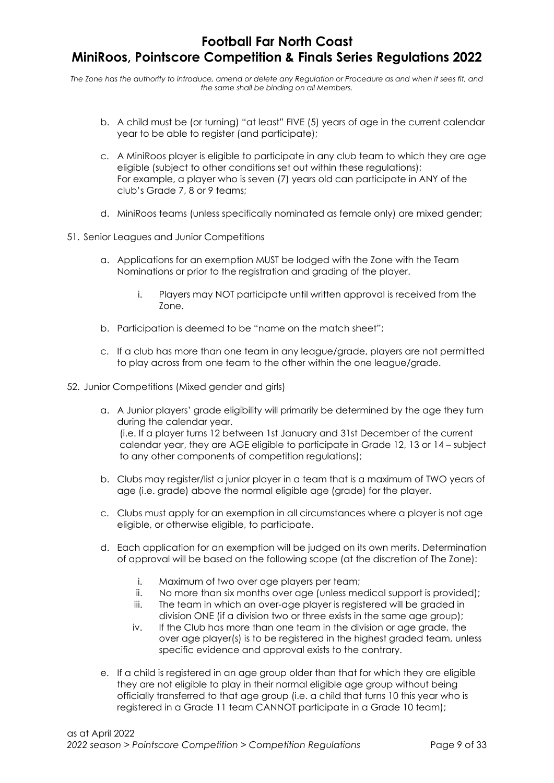- b. A child must be (or turning) "at least" FIVE (5) years of age in the current calendar year to be able to register (and participate);
- c. A MiniRoos player is eligible to participate in any club team to which they are age eligible (subject to other conditions set out within these regulations); For example, a player who is seven (7) years old can participate in ANY of the club's Grade 7, 8 or 9 teams;
- d. MiniRoos teams (unless specifically nominated as female only) are mixed gender;
- 51. Senior Leagues and Junior Competitions
	- a. Applications for an exemption MUST be lodged with the Zone with the Team Nominations or prior to the registration and grading of the player.
		- i. Players may NOT participate until written approval is received from the Zone.
	- b. Participation is deemed to be "name on the match sheet";
	- c. If a club has more than one team in any league/grade, players are not permitted to play across from one team to the other within the one league/grade.
- 52. Junior Competitions (Mixed gender and girls)
	- a. A Junior players' grade eligibility will primarily be determined by the age they turn during the calendar year. (i.e. If a player turns 12 between 1st January and 31st December of the current calendar year, they are AGE eligible to participate in Grade 12, 13 or 14 – subject to any other components of competition regulations);
	- b. Clubs may register/list a junior player in a team that is a maximum of TWO years of age (i.e. grade) above the normal eligible age (grade) for the player.
	- c. Clubs must apply for an exemption in all circumstances where a player is not age eligible, or otherwise eligible, to participate.
	- d. Each application for an exemption will be judged on its own merits. Determination of approval will be based on the following scope (at the discretion of The Zone):
		- i. Maximum of two over age players per team;
		- ii. No more than six months over age (unless medical support is provided);
		- iii. The team in which an over-age player is registered will be graded in division ONE (if a division two or three exists in the same age group);
		- iv. If the Club has more than one team in the division or age grade, the over age player(s) is to be registered in the highest graded team, unless specific evidence and approval exists to the contrary.
	- e. If a child is registered in an age group older than that for which they are eligible they are not eligible to play in their normal eligible age group without being officially transferred to that age group (i.e. a child that turns 10 this year who is registered in a Grade 11 team CANNOT participate in a Grade 10 team);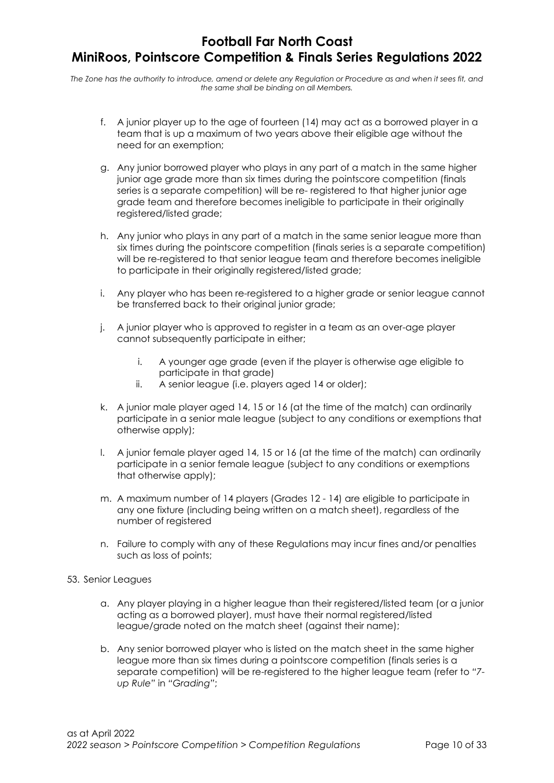- f. A junior player up to the age of fourteen (14) may act as a borrowed player in a team that is up a maximum of two years above their eligible age without the need for an exemption;
- g. Any junior borrowed player who plays in any part of a match in the same higher junior age grade more than six times during the pointscore competition (finals series is a separate competition) will be re- registered to that higher junior age grade team and therefore becomes ineligible to participate in their originally registered/listed grade;
- h. Any junior who plays in any part of a match in the same senior league more than six times during the pointscore competition (finals series is a separate competition) will be re-registered to that senior league team and therefore becomes ineligible to participate in their originally registered/listed grade;
- i. Any player who has been re-registered to a higher grade or senior league cannot be transferred back to their original junior grade;
- j. A junior player who is approved to register in a team as an over-age player cannot subsequently participate in either;
	- i. A younger age grade (even if the player is otherwise age eligible to participate in that grade)
	- ii. A senior league (i.e. players aged 14 or older);
- k. A junior male player aged 14, 15 or 16 (at the time of the match) can ordinarily participate in a senior male league (subject to any conditions or exemptions that otherwise apply);
- l. A junior female player aged 14, 15 or 16 (at the time of the match) can ordinarily participate in a senior female league (subject to any conditions or exemptions that otherwise apply);
- m. A maximum number of 14 players (Grades 12 14) are eligible to participate in any one fixture (including being written on a match sheet), regardless of the number of registered
- n. Failure to comply with any of these Regulations may incur fines and/or penalties such as loss of points;
- 53. Senior Leagues
	- a. Any player playing in a higher league than their registered/listed team (or a junior acting as a borrowed player), must have their normal registered/listed league/grade noted on the match sheet (against their name);
	- b. Any senior borrowed player who is listed on the match sheet in the same higher league more than six times during a pointscore competition (finals series is a separate competition) will be re-registered to the higher league team (refer to "7 up Rule" in "Grading";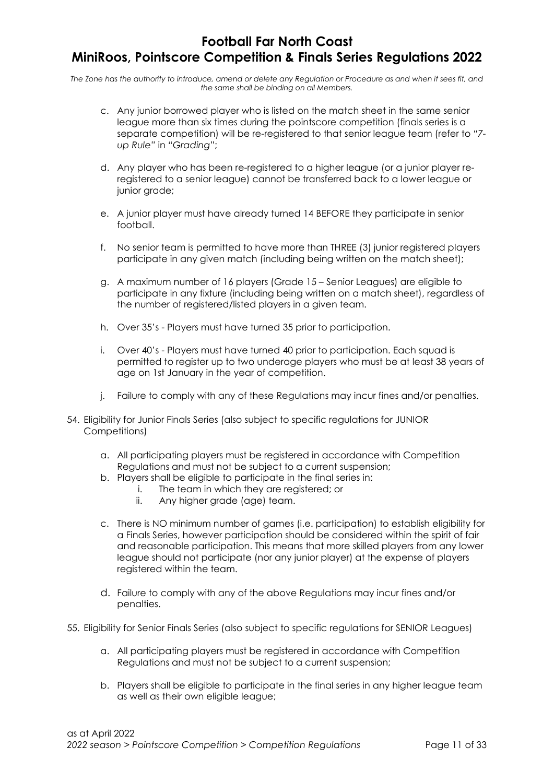- c. Any junior borrowed player who is listed on the match sheet in the same senior league more than six times during the pointscore competition (finals series is a separate competition) will be re-registered to that senior league team (refer to "7 up Rule" in "Grading";
- d. Any player who has been re-registered to a higher league (or a junior player reregistered to a senior league) cannot be transferred back to a lower league or junior grade;
- e. A junior player must have already turned 14 BEFORE they participate in senior football.
- f. No senior team is permitted to have more than THREE (3) junior registered players participate in any given match (including being written on the match sheet);
- g. A maximum number of 16 players (Grade 15 Senior Leagues) are eligible to participate in any fixture (including being written on a match sheet), regardless of the number of registered/listed players in a given team.
- h. Over 35's Players must have turned 35 prior to participation.
- i. Over 40's Players must have turned 40 prior to participation. Each squad is permitted to register up to two underage players who must be at least 38 years of age on 1st January in the year of competition.
- j. Failure to comply with any of these Regulations may incur fines and/or penalties.
- 54. Eligibility for Junior Finals Series (also subject to specific regulations for JUNIOR Competitions)
	- a. All participating players must be registered in accordance with Competition Regulations and must not be subject to a current suspension;
	- b. Players shall be eligible to participate in the final series in:
		- i. The team in which they are registered; or
		- ii. Any higher grade (age) team.
	- c. There is NO minimum number of games (i.e. participation) to establish eligibility for a Finals Series, however participation should be considered within the spirit of fair and reasonable participation. This means that more skilled players from any lower league should not participate (nor any junior player) at the expense of players registered within the team.
	- d. Failure to comply with any of the above Regulations may incur fines and/or penalties.
- 55. Eligibility for Senior Finals Series (also subject to specific regulations for SENIOR Leagues)
	- a. All participating players must be registered in accordance with Competition Regulations and must not be subject to a current suspension;
	- b. Players shall be eligible to participate in the final series in any higher league team as well as their own eligible league;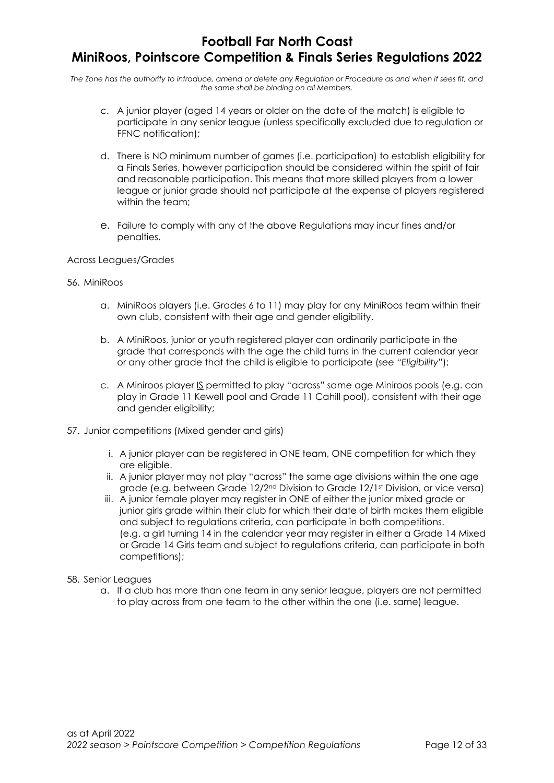The Zone has the authority to introduce, amend or delete any Regulation or Procedure as and when it sees fit, and the same shall be binding on all Members.

- c. A junior player (aged 14 years or older on the date of the match) is eligible to participate in any senior league (unless specifically excluded due to regulation or FFNC notification);
- d. There is NO minimum number of games (i.e. participation) to establish eligibility for a Finals Series, however participation should be considered within the spirit of fair and reasonable participation. This means that more skilled players from a lower league or junior grade should not participate at the expense of players registered within the team;
- e. Failure to comply with any of the above Regulations may incur fines and/or penalties.

#### Across Leagues/Grades

#### 56. MiniRoos

- a. MiniRoos players (i.e. Grades 6 to 11) may play for any MiniRoos team within their own club, consistent with their age and gender eligibility.
- b. A MiniRoos, junior or youth registered player can ordinarily participate in the grade that corresponds with the age the child turns in the current calendar year or any other grade that the child is eligible to participate (see "Eligibility");
- c. A Miniroos player IS permitted to play "across" same age Miniroos pools (e.g. can play in Grade 11 Kewell pool and Grade 11 Cahill pool), consistent with their age and gender eligibility;
- 57. Junior competitions (Mixed gender and girls)
	- i. A junior player can be registered in ONE team, ONE competition for which they are eligible.
	- ii. A junior player may not play "across" the same age divisions within the one age grade (e.g. between Grade 12/2nd Division to Grade 12/1st Division, or vice versa)
	- iii. A junior female player may register in ONE of either the junior mixed grade or junior girls grade within their club for which their date of birth makes them eligible and subject to regulations criteria, can participate in both competitions. (e.g. a girl turning 14 in the calendar year may register in either a Grade 14 Mixed or Grade 14 Girls team and subject to regulations criteria, can participate in both competitions);

#### 58. Senior Leagues

a. If a club has more than one team in any senior league, players are not permitted to play across from one team to the other within the one (i.e. same) league.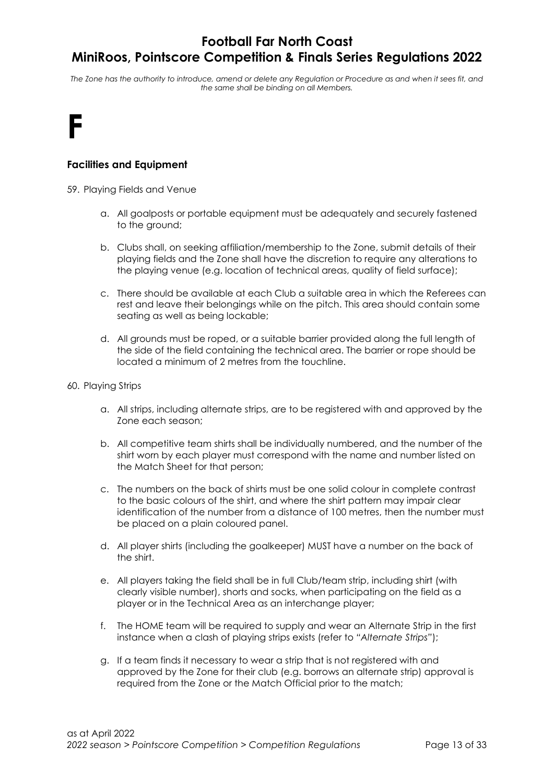The Zone has the authority to introduce, amend or delete any Regulation or Procedure as and when it sees fit, and the same shall be binding on all Members.

## F

## Facilities and Equipment

59. Playing Fields and Venue

- a. All goalposts or portable equipment must be adequately and securely fastened to the ground;
- b. Clubs shall, on seeking affiliation/membership to the Zone, submit details of their playing fields and the Zone shall have the discretion to require any alterations to the playing venue (e.g. location of technical areas, quality of field surface);
- c. There should be available at each Club a suitable area in which the Referees can rest and leave their belongings while on the pitch. This area should contain some seating as well as being lockable;
- d. All grounds must be roped, or a suitable barrier provided along the full length of the side of the field containing the technical area. The barrier or rope should be located a minimum of 2 metres from the touchline.
- 60. Playing Strips
	- a. All strips, including alternate strips, are to be registered with and approved by the Zone each season;
	- b. All competitive team shirts shall be individually numbered, and the number of the shirt worn by each player must correspond with the name and number listed on the Match Sheet for that person;
	- c. The numbers on the back of shirts must be one solid colour in complete contrast to the basic colours of the shirt, and where the shirt pattern may impair clear identification of the number from a distance of 100 metres, then the number must be placed on a plain coloured panel.
	- d. All player shirts (including the goalkeeper) MUST have a number on the back of the shirt.
	- e. All players taking the field shall be in full Club/team strip, including shirt (with clearly visible number), shorts and socks, when participating on the field as a player or in the Technical Area as an interchange player;
	- f. The HOME team will be required to supply and wear an Alternate Strip in the first instance when a clash of playing strips exists (refer to "Alternate Strips");
	- g. If a team finds it necessary to wear a strip that is not registered with and approved by the Zone for their club (e.g. borrows an alternate strip) approval is required from the Zone or the Match Official prior to the match;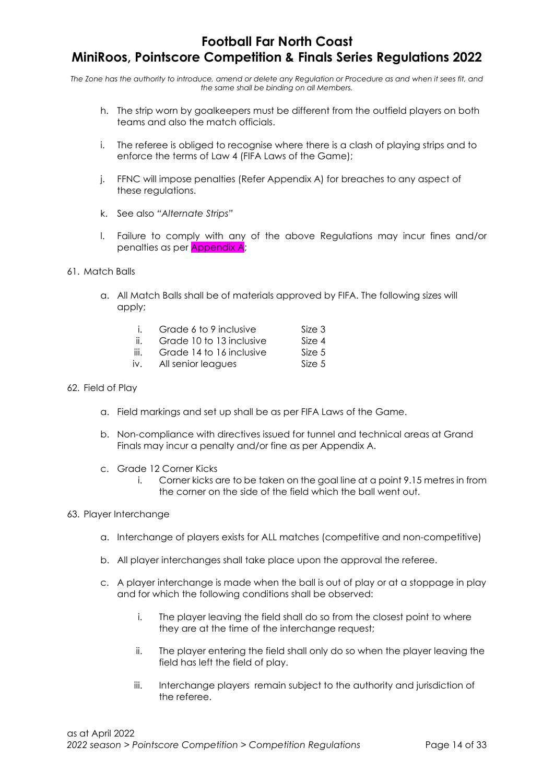The Zone has the authority to introduce, amend or delete any Regulation or Procedure as and when it sees fit, and the same shall be binding on all Members.

- h. The strip worn by goalkeepers must be different from the outfield players on both teams and also the match officials.
- i. The referee is obliged to recognise where there is a clash of playing strips and to enforce the terms of Law 4 (FIFA Laws of the Game);
- j. FFNC will impose penalties (Refer Appendix A) for breaches to any aspect of these regulations.
- k. See also "Alternate Strips"
- l. Failure to comply with any of the above Regulations may incur fines and/or penalties as per Appendix A;
- 61. Match Balls
	- a. All Match Balls shall be of materials approved by FIFA. The following sizes will apply;

| Grade 6 to 9 inclusive     | Size 3  |
|----------------------------|---------|
| $Cradd 10 to 12$ inclusive | $C = 4$ |

- ii. Grade 10 to 13 inclusive Size 4 iii. Grade 14 to 16 inclusive Size 5
- iv. All senior leagues Size 5
- 

#### 62. Field of Play

- a. Field markings and set up shall be as per FIFA Laws of the Game.
- b. Non-compliance with directives issued for tunnel and technical areas at Grand Finals may incur a penalty and/or fine as per Appendix A.
- c. Grade 12 Corner Kicks
	- i. Corner kicks are to be taken on the goal line at a point 9.15 metres in from the corner on the side of the field which the ball went out.

#### 63. Player Interchange

- a. Interchange of players exists for ALL matches (competitive and non-competitive)
- b. All player interchanges shall take place upon the approval the referee.
- c. A player interchange is made when the ball is out of play or at a stoppage in play and for which the following conditions shall be observed:
	- i. The player leaving the field shall do so from the closest point to where they are at the time of the interchange request;
	- ii. The player entering the field shall only do so when the player leaving the field has left the field of play.
	- iii. Interchange players remain subject to the authority and jurisdiction of the referee.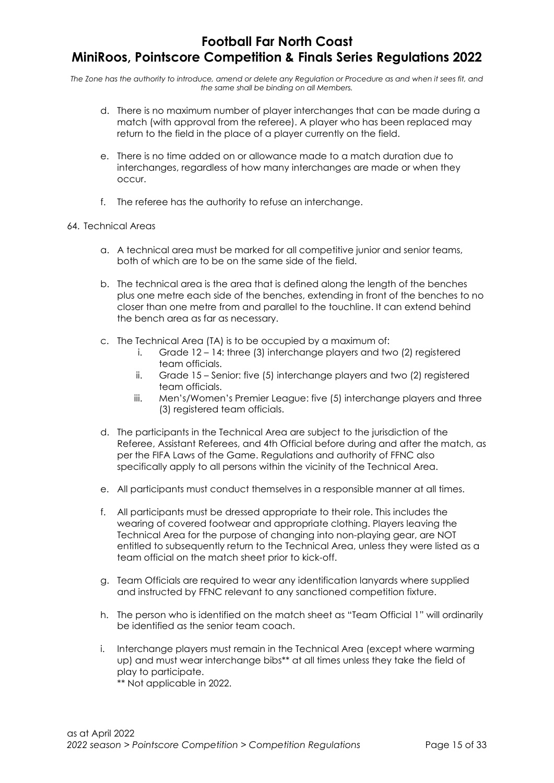The Zone has the authority to introduce, amend or delete any Regulation or Procedure as and when it sees fit, and the same shall be binding on all Members.

- d. There is no maximum number of player interchanges that can be made during a match (with approval from the referee). A player who has been replaced may return to the field in the place of a player currently on the field.
- e. There is no time added on or allowance made to a match duration due to interchanges, regardless of how many interchanges are made or when they occur.
- f. The referee has the authority to refuse an interchange.

### 64. Technical Areas

- a. A technical area must be marked for all competitive junior and senior teams, both of which are to be on the same side of the field.
- b. The technical area is the area that is defined along the length of the benches plus one metre each side of the benches, extending in front of the benches to no closer than one metre from and parallel to the touchline. It can extend behind the bench area as far as necessary.
- c. The Technical Area (TA) is to be occupied by a maximum of:
	- i. Grade 12 14: three (3) interchange players and two (2) registered team officials.
	- ii. Grade 15 Senior: five (5) interchange players and two (2) registered team officials.
	- iii. Men's/Women's Premier League: five (5) interchange players and three (3) registered team officials.
- d. The participants in the Technical Area are subject to the jurisdiction of the Referee, Assistant Referees, and 4th Official before during and after the match, as per the FIFA Laws of the Game. Regulations and authority of FFNC also specifically apply to all persons within the vicinity of the Technical Area.
- e. All participants must conduct themselves in a responsible manner at all times.
- f. All participants must be dressed appropriate to their role. This includes the wearing of covered footwear and appropriate clothing. Players leaving the Technical Area for the purpose of changing into non-playing gear, are NOT entitled to subsequently return to the Technical Area, unless they were listed as a team official on the match sheet prior to kick-off.
- g. Team Officials are required to wear any identification lanyards where supplied and instructed by FFNC relevant to any sanctioned competition fixture.
- h. The person who is identified on the match sheet as "Team Official 1" will ordinarily be identified as the senior team coach.
- i. Interchange players must remain in the Technical Area (except where warming up) and must wear interchange bibs\*\* at all times unless they take the field of play to participate.

\*\* Not applicable in 2022.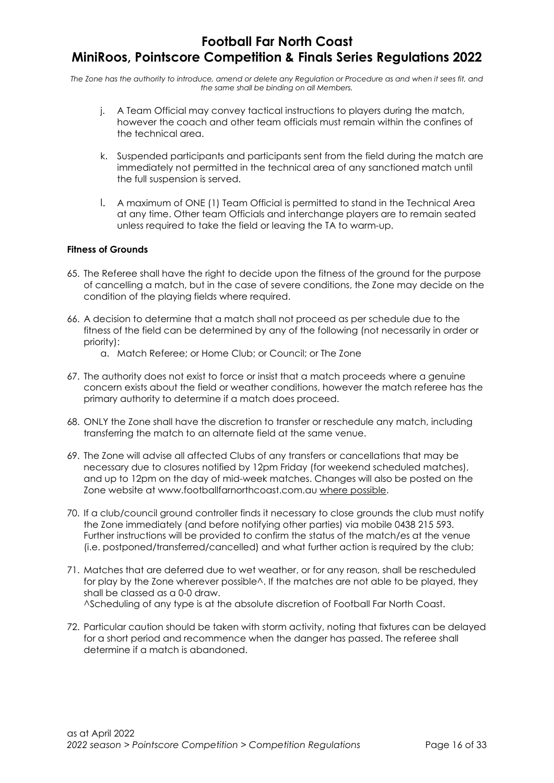The Zone has the authority to introduce, amend or delete any Regulation or Procedure as and when it sees fit, and the same shall be binding on all Members.

- j. A Team Official may convey tactical instructions to players during the match, however the coach and other team officials must remain within the confines of the technical area.
- k. Suspended participants and participants sent from the field during the match are immediately not permitted in the technical area of any sanctioned match until the full suspension is served.
- l. A maximum of ONE (1) Team Official is permitted to stand in the Technical Area at any time. Other team Officials and interchange players are to remain seated unless required to take the field or leaving the TA to warm-up.

### Fitness of Grounds

- 65. The Referee shall have the right to decide upon the fitness of the ground for the purpose of cancelling a match, but in the case of severe conditions, the Zone may decide on the condition of the playing fields where required.
- 66. A decision to determine that a match shall not proceed as per schedule due to the fitness of the field can be determined by any of the following (not necessarily in order or priority):
	- a. Match Referee; or Home Club; or Council; or The Zone
- 67. The authority does not exist to force or insist that a match proceeds where a genuine concern exists about the field or weather conditions, however the match referee has the primary authority to determine if a match does proceed.
- 68. ONLY the Zone shall have the discretion to transfer or reschedule any match, including transferring the match to an alternate field at the same venue.
- 69. The Zone will advise all affected Clubs of any transfers or cancellations that may be necessary due to closures notified by 12pm Friday (for weekend scheduled matches), and up to 12pm on the day of mid-week matches. Changes will also be posted on the Zone website at www.footballfarnorthcoast.com.au where possible.
- 70. If a club/council ground controller finds it necessary to close grounds the club must notify the Zone immediately (and before notifying other parties) via mobile 0438 215 593. Further instructions will be provided to confirm the status of the match/es at the venue (i.e. postponed/transferred/cancelled) and what further action is required by the club;
- 71. Matches that are deferred due to wet weather, or for any reason, shall be rescheduled for play by the Zone wherever possible  $\wedge$ . If the matches are not able to be played, they shall be classed as a 0-0 draw. ^Scheduling of any type is at the absolute discretion of Football Far North Coast.
- 72. Particular caution should be taken with storm activity, noting that fixtures can be delayed for a short period and recommence when the danger has passed. The referee shall determine if a match is abandoned.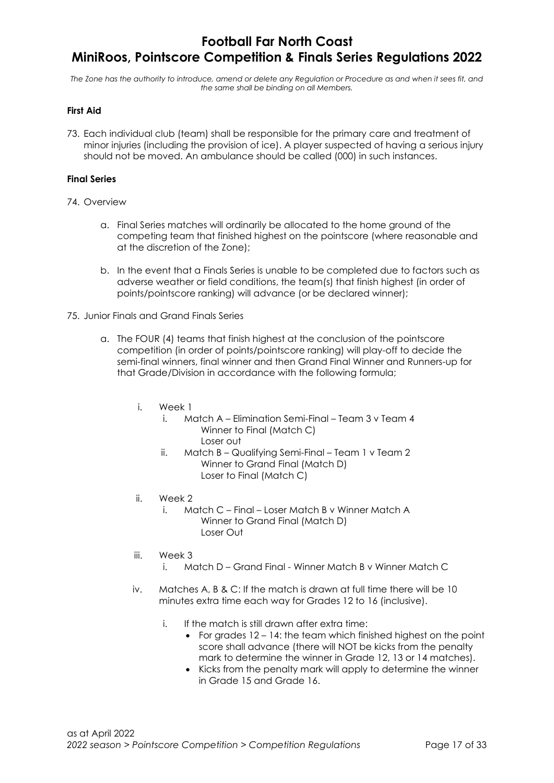The Zone has the authority to introduce, amend or delete any Regulation or Procedure as and when it sees fit, and the same shall be binding on all Members.

#### First Aid

73. Each individual club (team) shall be responsible for the primary care and treatment of minor injuries (including the provision of ice). A player suspected of having a serious injury should not be moved. An ambulance should be called (000) in such instances.

#### Final Series

#### 74. Overview

- a. Final Series matches will ordinarily be allocated to the home ground of the competing team that finished highest on the pointscore (where reasonable and at the discretion of the Zone);
- b. In the event that a Finals Series is unable to be completed due to factors such as adverse weather or field conditions, the team(s) that finish highest (in order of points/pointscore ranking) will advance (or be declared winner);
- 75. Junior Finals and Grand Finals Series
	- a. The FOUR (4) teams that finish highest at the conclusion of the pointscore competition (in order of points/pointscore ranking) will play-off to decide the semi-final winners, final winner and then Grand Final Winner and Runners-up for that Grade/Division in accordance with the following formula;
		- i. Week 1
			- i. Match A Elimination Semi-Final Team 3 v Team 4 Winner to Final (Match C) Loser out
			- ii. Match B Qualifying Semi-Final Team 1 v Team 2 Winner to Grand Final (Match D) Loser to Final (Match C)
		- ii. Week 2
			- i. Match C Final Loser Match B v Winner Match A Winner to Grand Final (Match D) Loser Out
		- iii. Week 3
			- i. Match D Grand Final Winner Match B v Winner Match C
		- iv. Matches A, B & C: If the match is drawn at full time there will be 10 minutes extra time each way for Grades 12 to 16 (inclusive).
			- i. If the match is still drawn after extra time:
				- For grades  $12 14$ : the team which finished highest on the point score shall advance (there will NOT be kicks from the penalty mark to determine the winner in Grade 12, 13 or 14 matches).
				- Kicks from the penalty mark will apply to determine the winner in Grade 15 and Grade 16.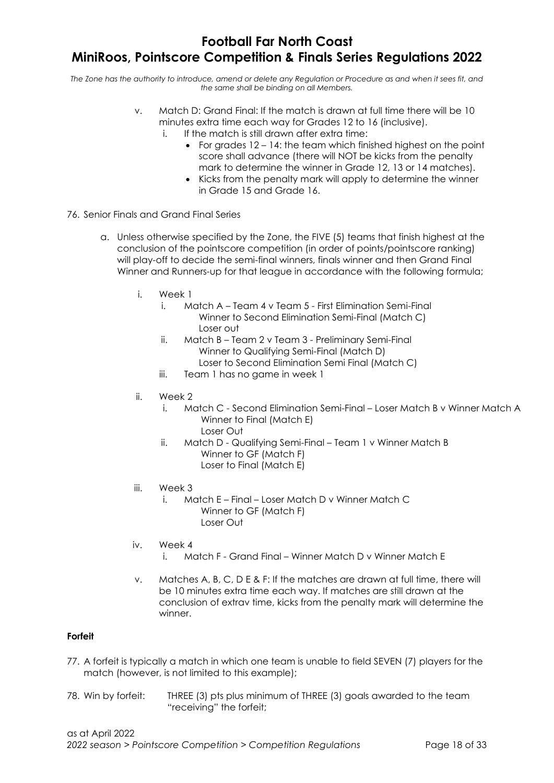The Zone has the authority to introduce, amend or delete any Regulation or Procedure as and when it sees fit, and the same shall be binding on all Members.

- v. Match D: Grand Final: If the match is drawn at full time there will be 10 minutes extra time each way for Grades 12 to 16 (inclusive).
	- If the match is still drawn after extra time:
		- For grades  $12 14$ : the team which finished highest on the point score shall advance (there will NOT be kicks from the penalty mark to determine the winner in Grade 12, 13 or 14 matches).
		- Kicks from the penalty mark will apply to determine the winner in Grade 15 and Grade 16.
- 76. Senior Finals and Grand Final Series
	- a. Unless otherwise specified by the Zone, the FIVE (5) teams that finish highest at the conclusion of the pointscore competition (in order of points/pointscore ranking) will play-off to decide the semi-final winners, finals winner and then Grand Final Winner and Runners-up for that league in accordance with the following formula;
		- i. Week 1
			- i. Match A Team 4 v Team 5 First Elimination Semi-Final Winner to Second Elimination Semi-Final (Match C) Loser out
			- ii. Match B Team 2 v Team 3 Preliminary Semi-Final Winner to Qualifying Semi-Final (Match D) Loser to Second Elimination Semi Final (Match C)
			- iii. Team 1 has no game in week 1
		- ii. Week 2
			- i. Match C Second Elimination Semi-Final Loser Match B v Winner Match A Winner to Final (Match E) Loser Out
			- ii. Match D Qualifying Semi-Final Team 1 v Winner Match B Winner to GF (Match F) Loser to Final (Match E)
		- iii. Week 3
			- i. Match E Final Loser Match D v Winner Match C Winner to GF (Match F) Loser Out
		- iv. Week 4
			- i. Match F Grand Final Winner Match D v Winner Match E
		- v. Matches A, B, C, D E & F: If the matches are drawn at full time, there will be 10 minutes extra time each way. If matches are still drawn at the conclusion of extrav time, kicks from the penalty mark will determine the winner.

#### Forfeit

- 77. A forfeit is typically a match in which one team is unable to field SEVEN (7) players for the match (however, is not limited to this example);
- 78. Win by forfeit: THREE (3) pts plus minimum of THREE (3) goals awarded to the team "receiving" the forfeit;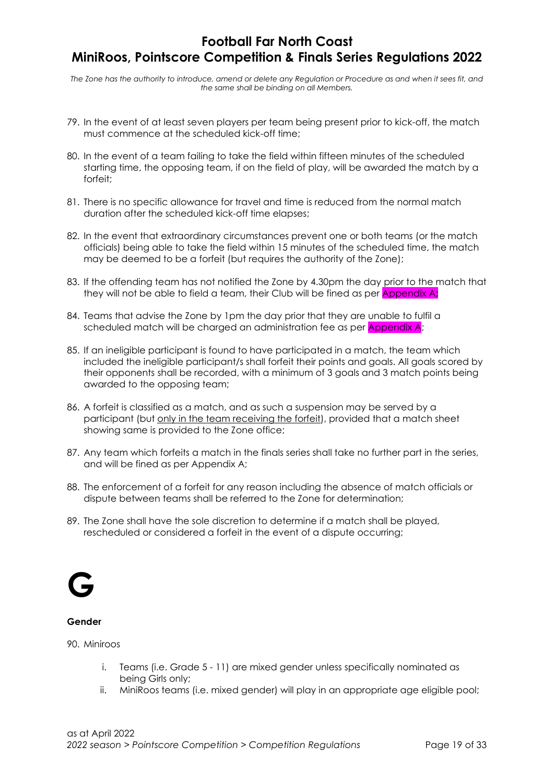The Zone has the authority to introduce, amend or delete any Regulation or Procedure as and when it sees fit, and the same shall be binding on all Members.

- 79. In the event of at least seven players per team being present prior to kick-off, the match must commence at the scheduled kick-off time;
- 80. In the event of a team failing to take the field within fifteen minutes of the scheduled starting time, the opposing team, if on the field of play, will be awarded the match by a forfeit;
- 81. There is no specific allowance for travel and time is reduced from the normal match duration after the scheduled kick-off time elapses;
- 82. In the event that extraordinary circumstances prevent one or both teams (or the match officials) being able to take the field within 15 minutes of the scheduled time, the match may be deemed to be a forfeit (but requires the authority of the Zone);
- 83. If the offending team has not notified the Zone by 4.30pm the day prior to the match that they will not be able to field a team, their Club will be fined as per **Appendix A**;
- 84. Teams that advise the Zone by 1pm the day prior that they are unable to fulfil a scheduled match will be charged an administration fee as per Appendix A;
- 85. If an ineligible participant is found to have participated in a match, the team which included the ineligible participant/s shall forfeit their points and goals. All goals scored by their opponents shall be recorded, with a minimum of 3 goals and 3 match points being awarded to the opposing team;
- 86. A forfeit is classified as a match, and as such a suspension may be served by a participant (but only in the team receiving the forfeit), provided that a match sheet showing same is provided to the Zone office;
- 87. Any team which forfeits a match in the finals series shall take no further part in the series, and will be fined as per Appendix A;
- 88. The enforcement of a forfeit for any reason including the absence of match officials or dispute between teams shall be referred to the Zone for determination;
- 89. The Zone shall have the sole discretion to determine if a match shall be played, rescheduled or considered a forfeit in the event of a dispute occurring;



#### Gender

90. Miniroos

- i. Teams (i.e. Grade 5 11) are mixed gender unless specifically nominated as being Girls only;
- ii. MiniRoos teams (i.e. mixed gender) will play in an appropriate age eligible pool;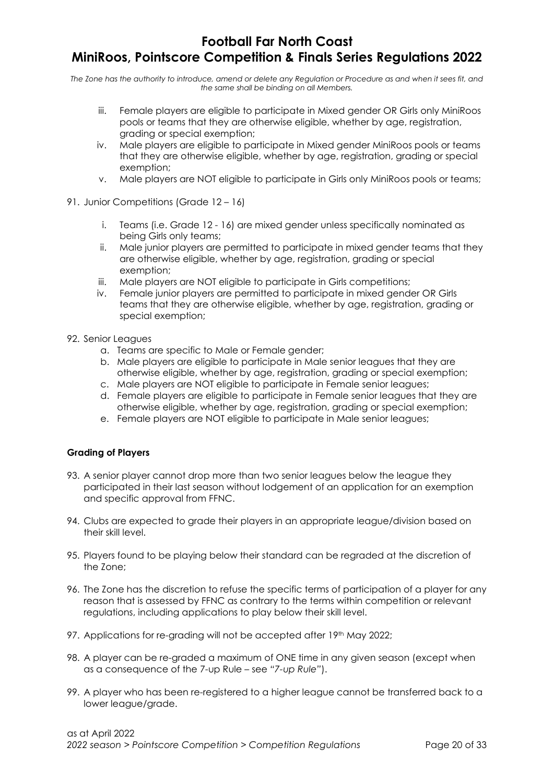The Zone has the authority to introduce, amend or delete any Regulation or Procedure as and when it sees fit, and the same shall be binding on all Members.

- iii. Female players are eligible to participate in Mixed gender OR Girls only MiniRoos pools or teams that they are otherwise eligible, whether by age, registration, grading or special exemption;
- iv. Male players are eligible to participate in Mixed gender MiniRoos pools or teams that they are otherwise eligible, whether by age, registration, grading or special exemption;
- v. Male players are NOT eligible to participate in Girls only MiniRoos pools or teams;
- 91. Junior Competitions (Grade 12 16)
	- i. Teams (i.e. Grade 12 16) are mixed gender unless specifically nominated as being Girls only teams;
	- ii. Male junior players are permitted to participate in mixed gender teams that they are otherwise eligible, whether by age, registration, grading or special exemption;
	- iii. Male players are NOT eligible to participate in Girls competitions;
	- iv. Female junior players are permitted to participate in mixed gender OR Girls teams that they are otherwise eligible, whether by age, registration, grading or special exemption;
- 92. Senior Leagues
	- a. Teams are specific to Male or Female gender;
	- b. Male players are eligible to participate in Male senior leagues that they are otherwise eligible, whether by age, registration, grading or special exemption;
	- c. Male players are NOT eligible to participate in Female senior leagues;
	- d. Female players are eligible to participate in Female senior leagues that they are otherwise eligible, whether by age, registration, grading or special exemption;
	- e. Female players are NOT eligible to participate in Male senior leagues;

## Grading of Players

- 93. A senior player cannot drop more than two senior leagues below the league they participated in their last season without lodgement of an application for an exemption and specific approval from FFNC.
- 94. Clubs are expected to grade their players in an appropriate league/division based on their skill level.
- 95. Players found to be playing below their standard can be regraded at the discretion of the Zone;
- 96. The Zone has the discretion to refuse the specific terms of participation of a player for any reason that is assessed by FFNC as contrary to the terms within competition or relevant regulations, including applications to play below their skill level.
- 97. Applications for re-grading will not be accepted after 19th May 2022;
- 98. A player can be re-graded a maximum of ONE time in any given season (except when as a consequence of the 7-up Rule – see "7-up Rule").
- 99. A player who has been re-registered to a higher league cannot be transferred back to a lower league/grade.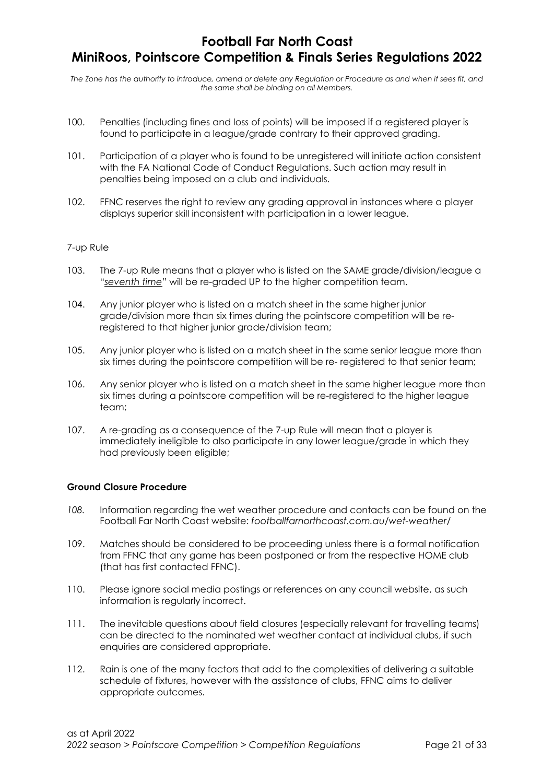The Zone has the authority to introduce, amend or delete any Regulation or Procedure as and when it sees fit, and the same shall be binding on all Members.

- 100. Penalties (including fines and loss of points) will be imposed if a registered player is found to participate in a league/grade contrary to their approved grading.
- 101. Participation of a player who is found to be unregistered will initiate action consistent with the FA National Code of Conduct Regulations. Such action may result in penalties being imposed on a club and individuals.
- 102. FFNC reserves the right to review any grading approval in instances where a player displays superior skill inconsistent with participation in a lower league.

#### 7-up Rule

- 103. The 7-up Rule means that a player who is listed on the SAME grade/division/league a "seventh time" will be re-graded UP to the higher competition team.
- 104. Any junior player who is listed on a match sheet in the same higher junior grade/division more than six times during the pointscore competition will be reregistered to that higher junior grade/division team;
- 105. Any junior player who is listed on a match sheet in the same senior league more than six times during the pointscore competition will be re- registered to that senior team;
- 106. Any senior player who is listed on a match sheet in the same higher league more than six times during a pointscore competition will be re-registered to the higher league team;
- 107. A re-grading as a consequence of the 7-up Rule will mean that a player is immediately ineligible to also participate in any lower league/grade in which they had previously been eligible;

#### Ground Closure Procedure

- 108. Information regarding the wet weather procedure and contacts can be found on the Football Far North Coast website: footballfarnorthcoast.com.au/wet-weather/
- 109. Matches should be considered to be proceeding unless there is a formal notification from FFNC that any game has been postponed or from the respective HOME club (that has first contacted FFNC).
- 110. Please ignore social media postings or references on any council website, as such information is regularly incorrect.
- 111. The inevitable questions about field closures (especially relevant for travelling teams) can be directed to the nominated wet weather contact at individual clubs, if such enquiries are considered appropriate.
- 112. Rain is one of the many factors that add to the complexities of delivering a suitable schedule of fixtures, however with the assistance of clubs, FFNC aims to deliver appropriate outcomes.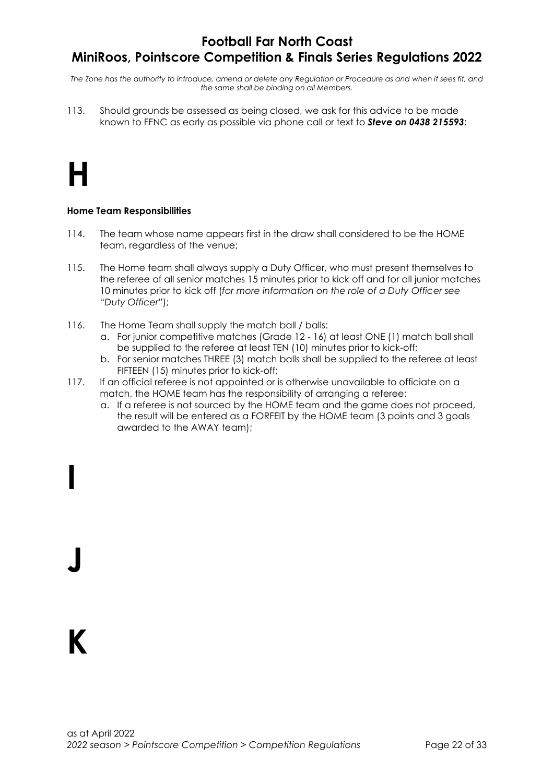The Zone has the authority to introduce, amend or delete any Regulation or Procedure as and when it sees fit, and the same shall be binding on all Members.

113. Should grounds be assessed as being closed, we ask for this advice to be made known to FFNC as early as possible via phone call or text to **Steve on 0438 215593**;

# H

### Home Team Responsibilities

- 114. The team whose name appears first in the draw shall considered to be the HOME team, regardless of the venue;
- 115. The Home team shall always supply a Duty Officer, who must present themselves to the referee of all senior matches 15 minutes prior to kick off and for all junior matches 10 minutes prior to kick off (for more information on the role of a Duty Officer see "Duty Officer");
- 116. The Home Team shall supply the match ball / balls:
	- a. For junior competitive matches (Grade 12 16) at least ONE (1) match ball shall be supplied to the referee at least TEN (10) minutes prior to kick-off;
	- b. For senior matches THREE (3) match balls shall be supplied to the referee at least FIFTEEN (15) minutes prior to kick-off;
- 117. If an official referee is not appointed or is otherwise unavailable to officiate on a match, the HOME team has the responsibility of arranging a referee:
	- a. If a referee is not sourced by the HOME team and the game does not proceed, the result will be entered as a FORFEIT by the HOME team (3 points and 3 goals awarded to the AWAY team);

# K

J

I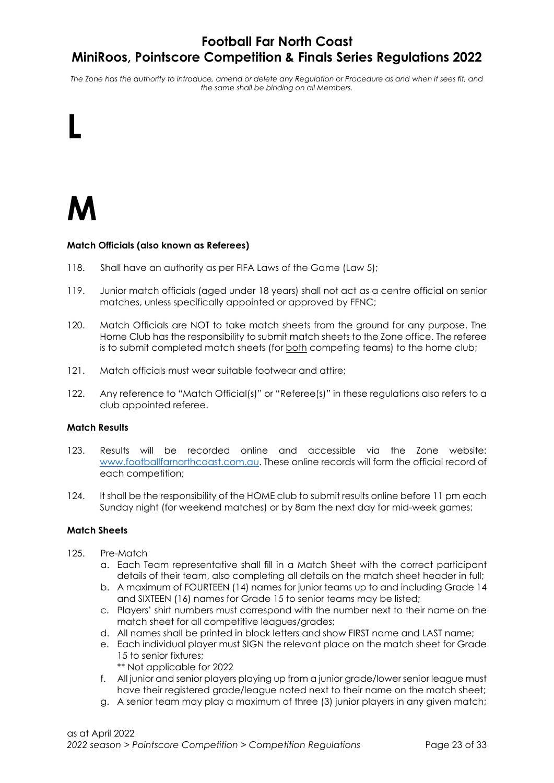The Zone has the authority to introduce, amend or delete any Regulation or Procedure as and when it sees fit, and the same shall be binding on all Members.



L

#### Match Officials (also known as Referees)

- 118. Shall have an authority as per FIFA Laws of the Game (Law 5);
- 119. Junior match officials (aged under 18 years) shall not act as a centre official on senior matches, unless specifically appointed or approved by FFNC;
- 120. Match Officials are NOT to take match sheets from the ground for any purpose. The Home Club has the responsibility to submit match sheets to the Zone office. The referee is to submit completed match sheets (for both competing teams) to the home club;
- 121. Match officials must wear suitable footwear and attire;
- 122. Any reference to "Match Official(s)" or "Referee(s)" in these regulations also refers to a club appointed referee.

#### Match Results

- 123. Results will be recorded online and accessible via the Zone website: www.footballfarnorthcoast.com.au. These online records will form the official record of each competition;
- 124. It shall be the responsibility of the HOME club to submit results online before 11 pm each Sunday night (for weekend matches) or by 8am the next day for mid-week games;

#### Match Sheets

- 125. Pre-Match
	- a. Each Team representative shall fill in a Match Sheet with the correct participant details of their team, also completing all details on the match sheet header in full;
	- b. A maximum of FOURTEEN (14) names for junior teams up to and including Grade 14 and SIXTEEN (16) names for Grade 15 to senior teams may be listed;
	- c. Players' shirt numbers must correspond with the number next to their name on the match sheet for all competitive leagues/grades;
	- d. All names shall be printed in block letters and show FIRST name and LAST name;
	- e. Each individual player must SIGN the relevant place on the match sheet for Grade 15 to senior fixtures;
		- \*\* Not applicable for 2022
	- f. All junior and senior players playing up from a junior grade/lower senior league must have their registered grade/league noted next to their name on the match sheet;
	- g. A senior team may play a maximum of three (3) junior players in any given match;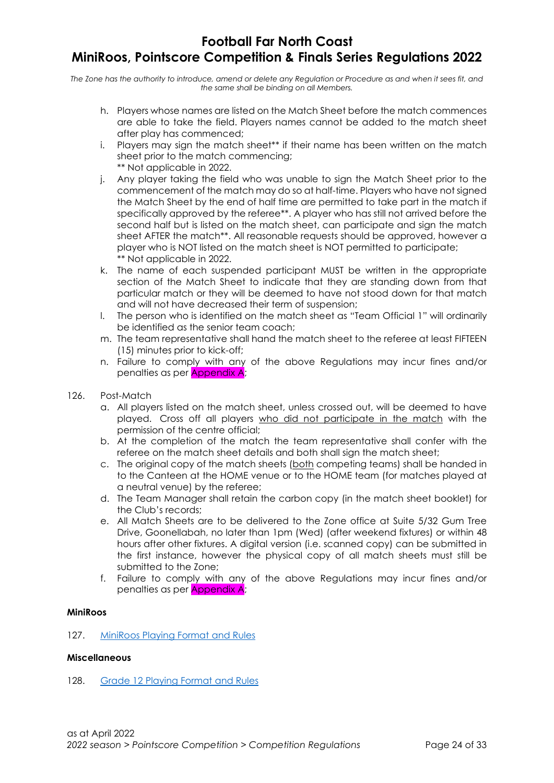The Zone has the authority to introduce, amend or delete any Regulation or Procedure as and when it sees fit, and the same shall be binding on all Members.

- h. Players whose names are listed on the Match Sheet before the match commences are able to take the field. Players names cannot be added to the match sheet after play has commenced;
- i. Players may sign the match sheet\*\* if their name has been written on the match sheet prior to the match commencing; \*\* Not applicable in 2022.
- j. Any player taking the field who was unable to sign the Match Sheet prior to the commencement of the match may do so at half-time. Players who have not signed the Match Sheet by the end of half time are permitted to take part in the match if specifically approved by the referee\*\*. A player who has still not arrived before the second half but is listed on the match sheet, can participate and sign the match sheet AFTER the match\*\*. All reasonable requests should be approved, however a player who is NOT listed on the match sheet is NOT permitted to participate; \*\* Not applicable in 2022.
- k. The name of each suspended participant MUST be written in the appropriate section of the Match Sheet to indicate that they are standing down from that particular match or they will be deemed to have not stood down for that match and will not have decreased their term of suspension;
- l. The person who is identified on the match sheet as "Team Official 1" will ordinarily be identified as the senior team coach;
- m. The team representative shall hand the match sheet to the referee at least FIFTEEN (15) minutes prior to kick-off;
- n. Failure to comply with any of the above Regulations may incur fines and/or penalties as per Appendix A;
- 126. Post-Match
	- a. All players listed on the match sheet, unless crossed out, will be deemed to have played. Cross off all players who did not participate in the match with the permission of the centre official;
	- b. At the completion of the match the team representative shall confer with the referee on the match sheet details and both shall sign the match sheet;
	- c. The original copy of the match sheets (both competing teams) shall be handed in to the Canteen at the HOME venue or to the HOME team (for matches played at a neutral venue) by the referee;
	- d. The Team Manager shall retain the carbon copy (in the match sheet booklet) for the Club's records;
	- e. All Match Sheets are to be delivered to the Zone office at Suite 5/32 Gum Tree Drive, Goonellabah, no later than 1pm (Wed) (after weekend fixtures) or within 48 hours after other fixtures. A digital version (i.e. scanned copy) can be submitted in the first instance, however the physical copy of all match sheets must still be submitted to the Zone;
	- f. Failure to comply with any of the above Regulations may incur fines and/or penalties as per Appendix A;

### MiniRoos

127. MiniRoos Playing Format and Rules

#### **Miscellaneous**

128. Grade 12 Playing Format and Rules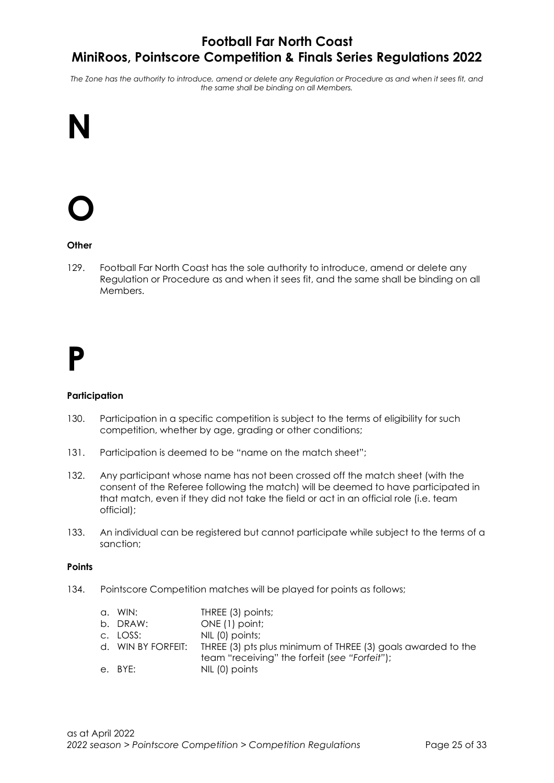The Zone has the authority to introduce, amend or delete any Regulation or Procedure as and when it sees fit, and the same shall be binding on all Members.

## N

# O

### **Other**

129. Football Far North Coast has the sole authority to introduce, amend or delete any Regulation or Procedure as and when it sees fit, and the same shall be binding on all Members.

## P

#### **Participation**

- 130. Participation in a specific competition is subject to the terms of eligibility for such competition, whether by age, grading or other conditions;
- 131. Participation is deemed to be "name on the match sheet";
- 132. Any participant whose name has not been crossed off the match sheet (with the consent of the Referee following the match) will be deemed to have participated in that match, even if they did not take the field or act in an official role (i.e. team official);
- 133. An individual can be registered but cannot participate while subject to the terms of a sanction;

#### **Points**

134. Pointscore Competition matches will be played for points as follows;

| a. WIN:  | THREE (3) points;                                                               |
|----------|---------------------------------------------------------------------------------|
| b. DRAW: | ONE (1) point;                                                                  |
| c. LOSS: | NIL (0) points;                                                                 |
|          | d. WIN BY FORFEIT: THREE (3) pts plus minimum of THREE (3) goals awarded to the |
|          | team "receiving" the forfeit (see "Forfeit");                                   |
| e. BYE:  | NIL (0) points                                                                  |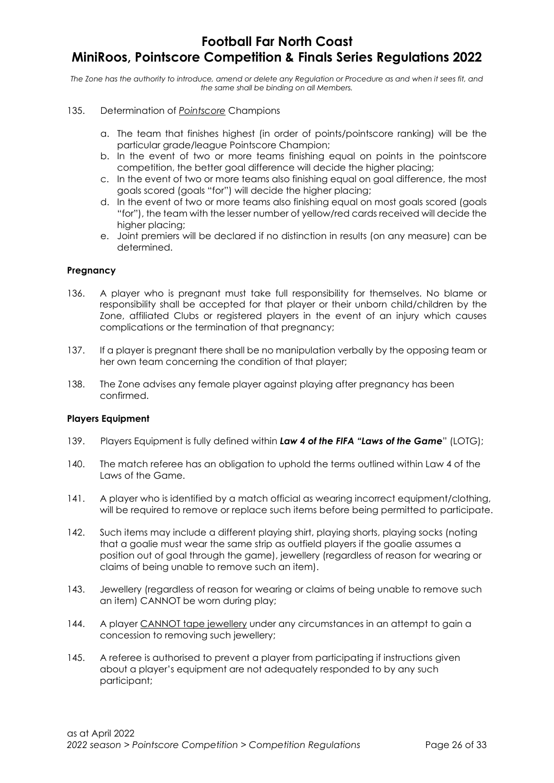The Zone has the authority to introduce, amend or delete any Regulation or Procedure as and when it sees fit, and the same shall be binding on all Members.

- 135. Determination of Pointscore Champions
	- a. The team that finishes highest (in order of points/pointscore ranking) will be the particular grade/league Pointscore Champion;
	- b. In the event of two or more teams finishing equal on points in the pointscore competition, the better goal difference will decide the higher placing;
	- c. In the event of two or more teams also finishing equal on goal difference, the most goals scored (goals "for") will decide the higher placing;
	- d. In the event of two or more teams also finishing equal on most goals scored (goals "for"), the team with the lesser number of yellow/red cards received will decide the higher placing:
	- e. Joint premiers will be declared if no distinction in results (on any measure) can be determined.

#### Pregnancy

- 136. A player who is pregnant must take full responsibility for themselves. No blame or responsibility shall be accepted for that player or their unborn child/children by the Zone, affiliated Clubs or registered players in the event of an injury which causes complications or the termination of that pregnancy;
- 137. If a player is pregnant there shall be no manipulation verbally by the opposing team or her own team concerning the condition of that player;
- 138. The Zone advises any female player against playing after pregnancy has been confirmed.

#### Players Equipment

- 139. Players Equipment is fully defined within Law 4 of the FIFA "Laws of the Game" (LOTG);
- 140. The match referee has an obligation to uphold the terms outlined within Law 4 of the Laws of the Game.
- 141. A player who is identified by a match official as wearing incorrect equipment/clothing, will be required to remove or replace such items before being permitted to participate.
- 142. Such items may include a different playing shirt, playing shorts, playing socks (noting that a goalie must wear the same strip as outfield players if the goalie assumes a position out of goal through the game), jewellery (regardless of reason for wearing or claims of being unable to remove such an item).
- 143. Jewellery (regardless of reason for wearing or claims of being unable to remove such an item) CANNOT be worn during play;
- 144. A player CANNOT tape jewellery under any circumstances in an attempt to gain a concession to removing such jewellery;
- 145. A referee is authorised to prevent a player from participating if instructions given about a player's equipment are not adequately responded to by any such participant;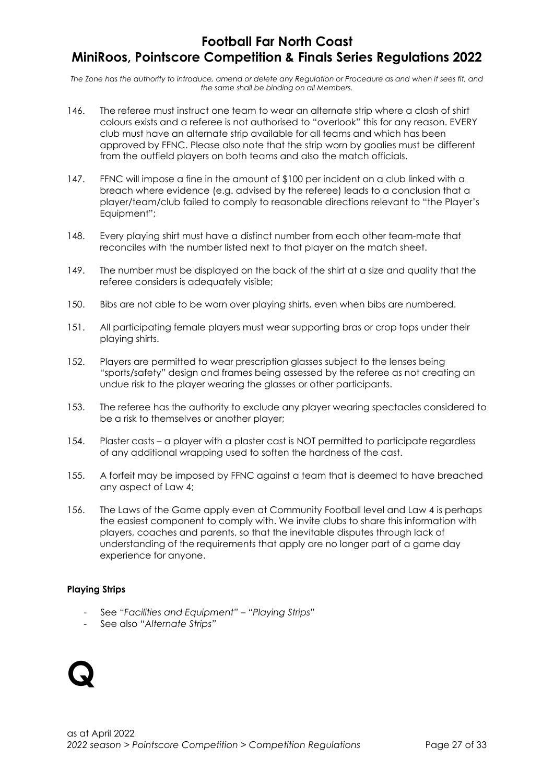The Zone has the authority to introduce, amend or delete any Regulation or Procedure as and when it sees fit, and the same shall be binding on all Members.

- 146. The referee must instruct one team to wear an alternate strip where a clash of shirt colours exists and a referee is not authorised to "overlook" this for any reason. EVERY club must have an alternate strip available for all teams and which has been approved by FFNC. Please also note that the strip worn by goalies must be different from the outfield players on both teams and also the match officials.
- 147. FFNC will impose a fine in the amount of \$100 per incident on a club linked with a breach where evidence (e.g. advised by the referee) leads to a conclusion that a player/team/club failed to comply to reasonable directions relevant to "the Player's Equipment";
- 148. Every playing shirt must have a distinct number from each other team-mate that reconciles with the number listed next to that player on the match sheet.
- 149. The number must be displayed on the back of the shirt at a size and quality that the referee considers is adequately visible;
- 150. Bibs are not able to be worn over playing shirts, even when bibs are numbered.
- 151. All participating female players must wear supporting bras or crop tops under their playing shirts.
- 152. Players are permitted to wear prescription glasses subject to the lenses being "sports/safety" design and frames being assessed by the referee as not creating an undue risk to the player wearing the glasses or other participants.
- 153. The referee has the authority to exclude any player wearing spectacles considered to be a risk to themselves or another player;
- 154. Plaster casts a player with a plaster cast is NOT permitted to participate regardless of any additional wrapping used to soften the hardness of the cast.
- 155. A forfeit may be imposed by FFNC against a team that is deemed to have breached any aspect of Law 4;
- 156. The Laws of the Game apply even at Community Football level and Law 4 is perhaps the easiest component to comply with. We invite clubs to share this information with players, coaches and parents, so that the inevitable disputes through lack of understanding of the requirements that apply are no longer part of a game day experience for anyone.

### Playing Strips

- See "Facilities and Equipment" "Playing Strips"
- See also "Alternate Strips"

## Q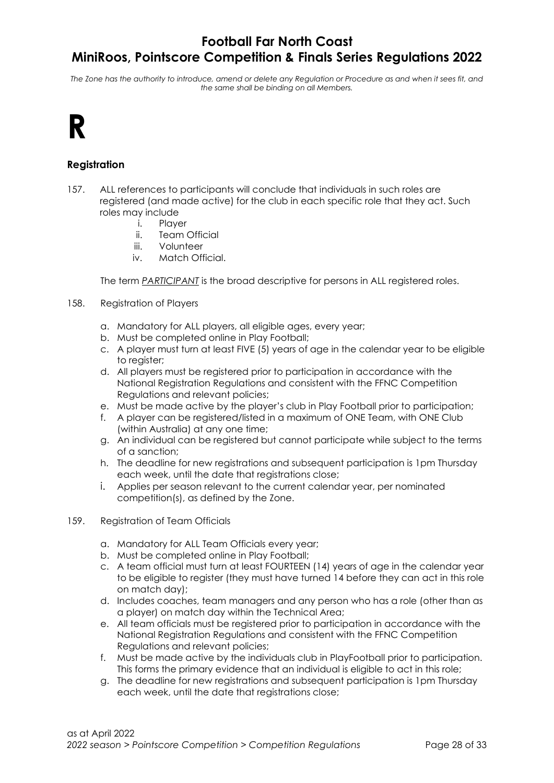The Zone has the authority to introduce, amend or delete any Regulation or Procedure as and when it sees fit, and the same shall be binding on all Members.

## R

## Registration

- 157. ALL references to participants will conclude that individuals in such roles are registered (and made active) for the club in each specific role that they act. Such roles may include
	- i. Player
		- ii. Team Official
	- iii. Volunteer
	- iv. Match Official.

The term PARTICIPANT is the broad descriptive for persons in ALL registered roles.

- 158. Registration of Players
	- a. Mandatory for ALL players, all eligible ages, every year;
	- b. Must be completed online in Play Football;
	- c. A player must turn at least FIVE (5) years of age in the calendar year to be eligible to register;
	- d. All players must be registered prior to participation in accordance with the National Registration Regulations and consistent with the FFNC Competition Regulations and relevant policies;
	- e. Must be made active by the player's club in Play Football prior to participation;
	- f. A player can be registered/listed in a maximum of ONE Team, with ONE Club (within Australia) at any one time;
	- g. An individual can be registered but cannot participate while subject to the terms of a sanction;
	- h. The deadline for new registrations and subsequent participation is 1pm Thursday each week, until the date that registrations close;
	- i. Applies per season relevant to the current calendar year, per nominated competition(s), as defined by the Zone.
- 159. Registration of Team Officials
	- a. Mandatory for ALL Team Officials every year;
	- b. Must be completed online in Play Football;
	- c. A team official must turn at least FOURTEEN (14) years of age in the calendar year to be eligible to register (they must have turned 14 before they can act in this role on match day);
	- d. Includes coaches, team managers and any person who has a role (other than as a player) on match day within the Technical Area;
	- e. All team officials must be registered prior to participation in accordance with the National Registration Regulations and consistent with the FFNC Competition Regulations and relevant policies;
	- f. Must be made active by the individuals club in PlayFootball prior to participation. This forms the primary evidence that an individual is eligible to act in this role;
	- g. The deadline for new registrations and subsequent participation is 1pm Thursday each week, until the date that registrations close;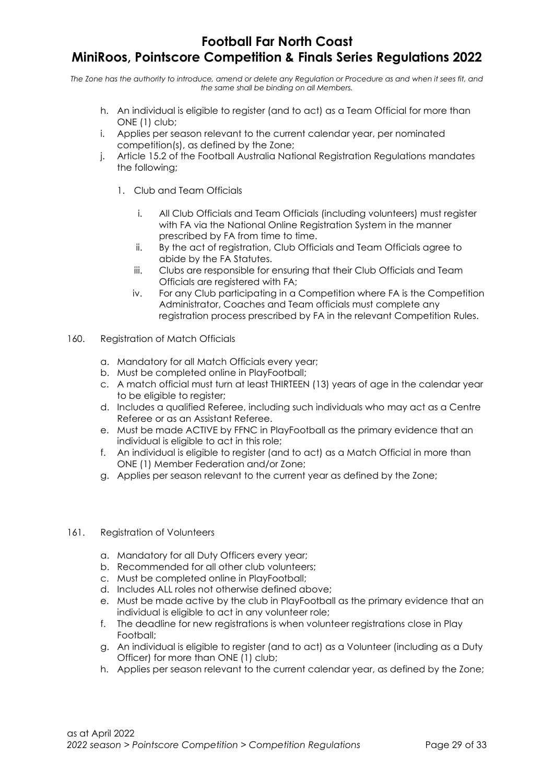## Football Far North Coast

## MiniRoos, Pointscore Competition & Finals Series Regulations 2022

The Zone has the authority to introduce, amend or delete any Regulation or Procedure as and when it sees fit, and the same shall be binding on all Members.

- h. An individual is eligible to register (and to act) as a Team Official for more than ONE (1) club;
- i. Applies per season relevant to the current calendar year, per nominated competition(s), as defined by the Zone;
- j. Article 15.2 of the Football Australia National Registration Regulations mandates the following;
	- 1. Club and Team Officials
		- i. All Club Officials and Team Officials (including volunteers) must register with FA via the National Online Registration System in the manner prescribed by FA from time to time.
		- ii. By the act of registration, Club Officials and Team Officials agree to abide by the FA Statutes.
		- iii. Clubs are responsible for ensuring that their Club Officials and Team Officials are registered with FA;
		- iv. For any Club participating in a Competition where FA is the Competition Administrator, Coaches and Team officials must complete any registration process prescribed by FA in the relevant Competition Rules.
- 160. Registration of Match Officials
	- a. Mandatory for all Match Officials every year;
	- b. Must be completed online in PlayFootball;
	- c. A match official must turn at least THIRTEEN (13) years of age in the calendar year to be eligible to register;
	- d. Includes a qualified Referee, including such individuals who may act as a Centre Referee or as an Assistant Referee.
	- e. Must be made ACTIVE by FFNC in PlayFootball as the primary evidence that an individual is eligible to act in this role;
	- f. An individual is eligible to register (and to act) as a Match Official in more than ONE (1) Member Federation and/or Zone;
	- g. Applies per season relevant to the current year as defined by the Zone;

#### 161. Registration of Volunteers

- a. Mandatory for all Duty Officers every year;
- b. Recommended for all other club volunteers;
- c. Must be completed online in PlayFootball;
- d. Includes ALL roles not otherwise defined above;
- e. Must be made active by the club in PlayFootball as the primary evidence that an individual is eligible to act in any volunteer role;
- f. The deadline for new registrations is when volunteer registrations close in Play Football;
- g. An individual is eligible to register (and to act) as a Volunteer (including as a Duty Officer) for more than ONE (1) club;
- h. Applies per season relevant to the current calendar year, as defined by the Zone;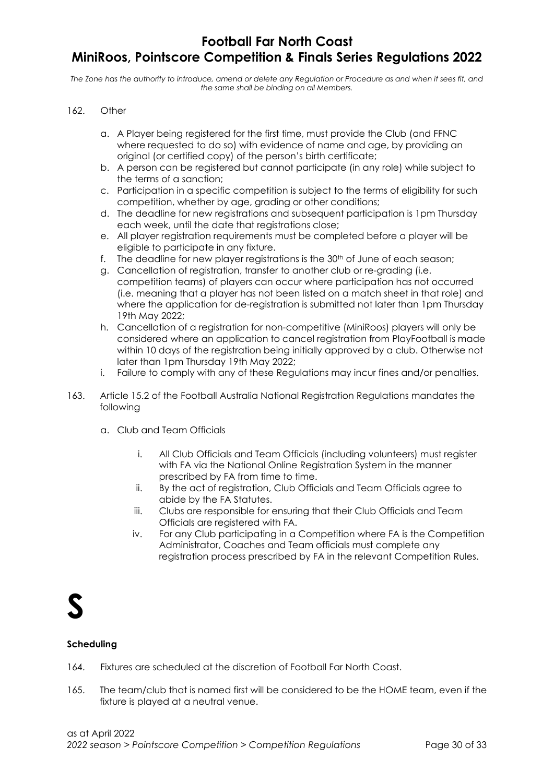The Zone has the authority to introduce, amend or delete any Regulation or Procedure as and when it sees fit, and the same shall be binding on all Members.

#### 162. Other

- a. A Player being registered for the first time, must provide the Club (and FFNC where requested to do so) with evidence of name and age, by providing an original (or certified copy) of the person's birth certificate;
- b. A person can be registered but cannot participate (in any role) while subject to the terms of a sanction;
- c. Participation in a specific competition is subject to the terms of eligibility for such competition, whether by age, grading or other conditions;
- d. The deadline for new registrations and subsequent participation is 1pm Thursday each week, until the date that registrations close;
- e. All player registration requirements must be completed before a player will be eligible to participate in any fixture.
- f. The deadline for new player registrations is the 30<sup>th</sup> of June of each season;
- g. Cancellation of registration, transfer to another club or re-grading (i.e. competition teams) of players can occur where participation has not occurred (i.e. meaning that a player has not been listed on a match sheet in that role) and where the application for de-registration is submitted not later than 1pm Thursday 19th May 2022;
- h. Cancellation of a registration for non-competitive (MiniRoos) players will only be considered where an application to cancel registration from PlayFootball is made within 10 days of the registration being initially approved by a club. Otherwise not later than 1pm Thursday 19th May 2022;
- i. Failure to comply with any of these Regulations may incur fines and/or penalties.
- 163. Article 15.2 of the Football Australia National Registration Regulations mandates the following
	- a. Club and Team Officials
		- i. All Club Officials and Team Officials (including volunteers) must register with FA via the National Online Registration System in the manner prescribed by FA from time to time.
		- ii. By the act of registration, Club Officials and Team Officials agree to abide by the FA Statutes.
		- iii. Clubs are responsible for ensuring that their Club Officials and Team Officials are registered with FA.
		- iv. For any Club participating in a Competition where FA is the Competition Administrator, Coaches and Team officials must complete any registration process prescribed by FA in the relevant Competition Rules.

## S

#### Scheduling

- 164. Fixtures are scheduled at the discretion of Football Far North Coast.
- 165. The team/club that is named first will be considered to be the HOME team, even if the fixture is played at a neutral venue.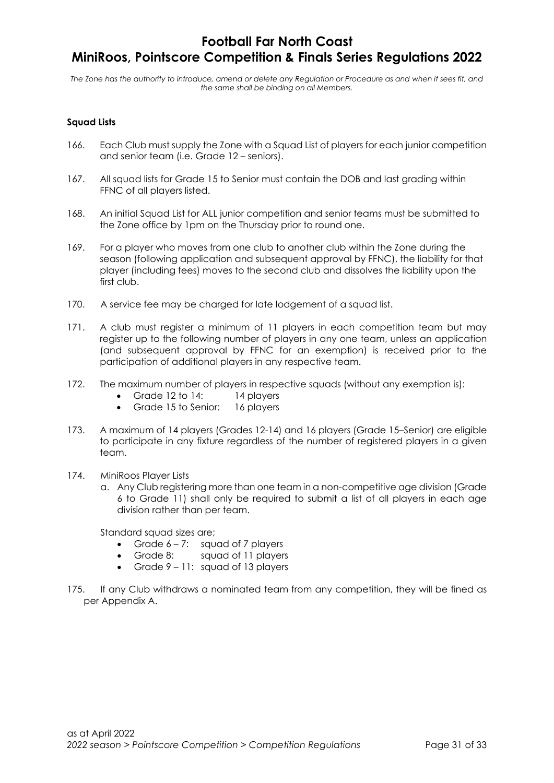The Zone has the authority to introduce, amend or delete any Regulation or Procedure as and when it sees fit, and the same shall be binding on all Members.

### Squad Lists

- 166. Each Club must supply the Zone with a Squad List of players for each junior competition and senior team (i.e. Grade 12 – seniors).
- 167. All squad lists for Grade 15 to Senior must contain the DOB and last grading within FFNC of all players listed.
- 168. An initial Squad List for ALL junior competition and senior teams must be submitted to the Zone office by 1pm on the Thursday prior to round one.
- 169. For a player who moves from one club to another club within the Zone during the season (following application and subsequent approval by FFNC), the liability for that player (including fees) moves to the second club and dissolves the liability upon the first club.
- 170. A service fee may be charged for late lodgement of a squad list.
- 171. A club must register a minimum of 11 players in each competition team but may register up to the following number of players in any one team, unless an application (and subsequent approval by FFNC for an exemption) is received prior to the participation of additional players in any respective team.
- 172. The maximum number of players in respective squads (without any exemption is):
	- Grade 12 to 14: 14 players
	- Grade 15 to Senior: 16 players
- 173. A maximum of 14 players (Grades 12-14) and 16 players (Grade 15–Senior) are eligible to participate in any fixture regardless of the number of registered players in a given team.
- 174. MiniRoos Player Lists
	- a. Any Club registering more than one team in a non-competitive age division (Grade 6 to Grade 11) shall only be required to submit a list of all players in each age division rather than per team.

Standard squad sizes are;

- Grade  $6 7$ : squad of 7 players
- Grade 8: sauad of 11 players
- Grade 9 11: squad of 13 players
- 175. If any Club withdraws a nominated team from any competition, they will be fined as per Appendix A.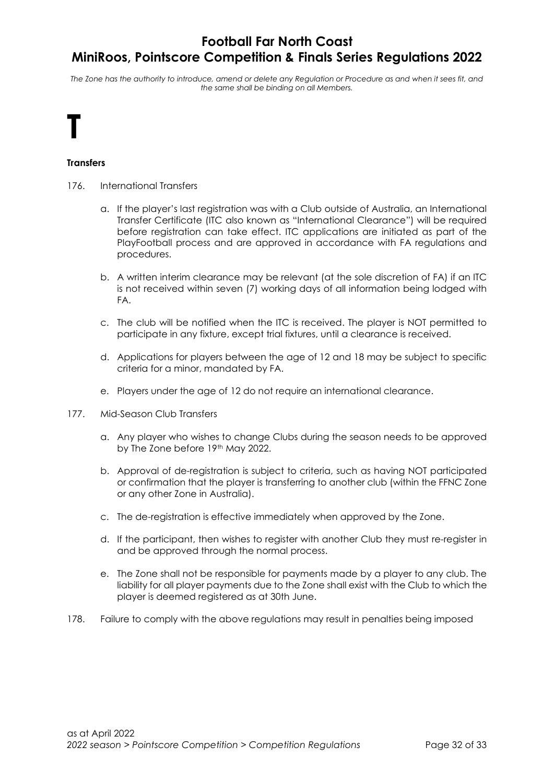The Zone has the authority to introduce, amend or delete any Regulation or Procedure as and when it sees fit, and the same shall be binding on all Members.

# T

### **Transfers**

- 176. International Transfers
	- a. If the player's last registration was with a Club outside of Australia, an International Transfer Certificate (ITC also known as "International Clearance") will be required before registration can take effect. ITC applications are initiated as part of the PlayFootball process and are approved in accordance with FA regulations and procedures.
	- b. A written interim clearance may be relevant (at the sole discretion of FA) if an ITC is not received within seven (7) working days of all information being lodged with FA.
	- c. The club will be notified when the ITC is received. The player is NOT permitted to participate in any fixture, except trial fixtures, until a clearance is received.
	- d. Applications for players between the age of 12 and 18 may be subject to specific criteria for a minor, mandated by FA.
	- e. Players under the age of 12 do not require an international clearance.
- 177. Mid-Season Club Transfers
	- a. Any player who wishes to change Clubs during the season needs to be approved by The Zone before 19th May 2022.
	- b. Approval of de-registration is subject to criteria, such as having NOT participated or confirmation that the player is transferring to another club (within the FFNC Zone or any other Zone in Australia).
	- c. The de-registration is effective immediately when approved by the Zone.
	- d. If the participant, then wishes to register with another Club they must re-register in and be approved through the normal process.
	- e. The Zone shall not be responsible for payments made by a player to any club. The liability for all player payments due to the Zone shall exist with the Club to which the player is deemed registered as at 30th June.
- 178. Failure to comply with the above regulations may result in penalties being imposed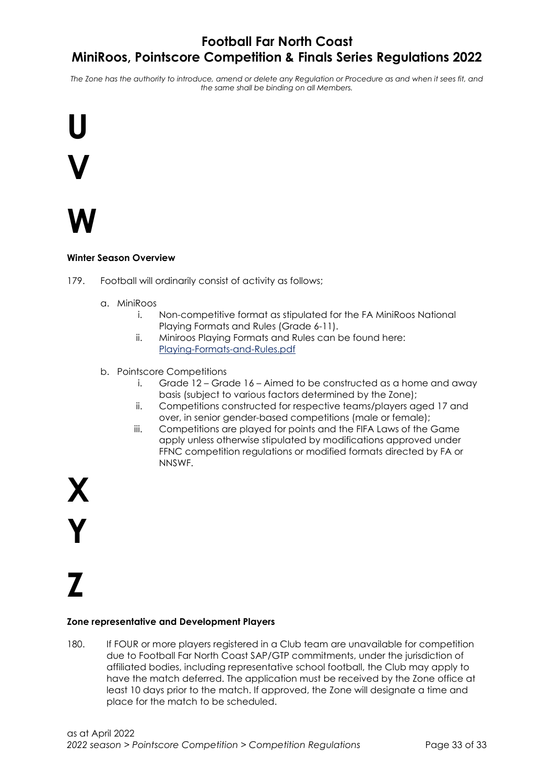The Zone has the authority to introduce, amend or delete any Regulation or Procedure as and when it sees fit, and the same shall be binding on all Members.



## W

### Winter Season Overview

- 179. Football will ordinarily consist of activity as follows;
	- a. MiniRoos
		- i. Non-competitive format as stipulated for the FA MiniRoos National Playing Formats and Rules (Grade 6-11).
		- ii. Miniroos Playing Formats and Rules can be found here: Playing-Formats-and-Rules.pdf
	- b. Pointscore Competitions
		- i. Grade  $12 -$  Grade  $16 -$  Aimed to be constructed as a home and away basis (subject to various factors determined by the Zone);
		- ii. Competitions constructed for respective teams/players aged 17 and over, in senior gender-based competitions (male or female);
		- iii. Competitions are played for points and the FIFA Laws of the Game apply unless otherwise stipulated by modifications approved under FFNC competition regulations or modified formats directed by FA or NNSWF.

X Y

# Z

#### Zone representative and Development Players

180. If FOUR or more players registered in a Club team are unavailable for competition due to Football Far North Coast SAP/GTP commitments, under the jurisdiction of affiliated bodies, including representative school football, the Club may apply to have the match deferred. The application must be received by the Zone office at least 10 days prior to the match. If approved, the Zone will designate a time and place for the match to be scheduled.